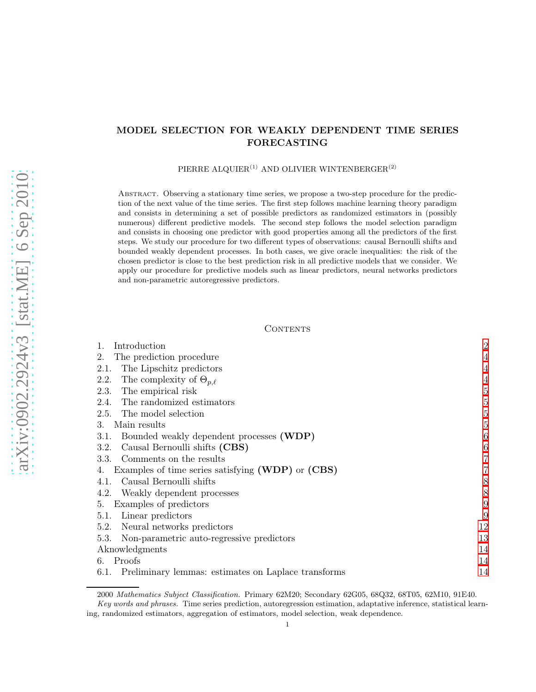# MODEL SELECTION FOR WEAKLY DEPENDENT TIME SERIES FORECASTING

PIERRE ALQUIER<sup>(1)</sup> AND OLIVIER WINTENBERGER<sup>(2)</sup>

Abstract. Observing a stationary time series, we propose a two-step procedure for the prediction of the next value of the time series. The first step follows machine learning theory paradigm and consists in determining a set of possible predictors as randomized estimators in (possibly numerous) different predictive models. The second step follows the model selection paradigm and consists in choosing one predictor with good properties among all the predictors of the first steps. We study our procedure for two different types of observations: causal Bernoulli shifts and bounded weakly dependent processes. In both cases, we give oracle inequalities: the risk of the chosen predictor is close to the best prediction risk in all predictive models that we consider. We apply our procedure for predictive models such as linear predictors, neural networks predictors and non-parametric autoregressive predictors.

# CONTENTS

| Introduction                                                | $\overline{2}$ |
|-------------------------------------------------------------|----------------|
| The prediction procedure<br>2.                              | 4              |
| The Lipschitz predictors<br>2.1.                            | $\overline{4}$ |
| The complexity of $\Theta_{p,\ell}$<br>2.2.                 | $\overline{4}$ |
| The empirical risk<br>2.3.                                  | 5              |
| The randomized estimators<br>2.4.                           | 5              |
| The model selection<br>2.5.                                 | 5              |
| Main results<br>3.                                          | 5              |
| Bounded weakly dependent processes (WDP)<br>3.1.            | 6              |
| Causal Bernoulli shifts (CBS)<br>3.2.                       | 6              |
| Comments on the results<br>3.3.                             | 7              |
| Examples of time series satisfying (WDP) or (CBS)           |                |
| Causal Bernoulli shifts<br>4.1.                             | 8              |
| Weakly dependent processes<br>4.2.                          | 8              |
| Examples of predictors<br>5.                                | 9              |
| Linear predictors<br>5.1.                                   | 9              |
| Neural networks predictors<br>5.2.                          | 12             |
| 5.3.<br>Non-parametric auto-regressive predictors           | 13             |
| Aknowledgments                                              | 14             |
| 6. Proofs                                                   | 14             |
| Preliminary lemmas: estimates on Laplace transforms<br>6.1. | 14             |

<sup>2000</sup> Mathematics Subject Classification. Primary 62M20; Secondary 62G05, 68Q32, 68T05, 62M10, 91E40.

Key words and phrases. Time series prediction, autoregression estimation, adaptative inference, statistical learning, randomized estimators, aggregation of estimators, model selection, weak dependence.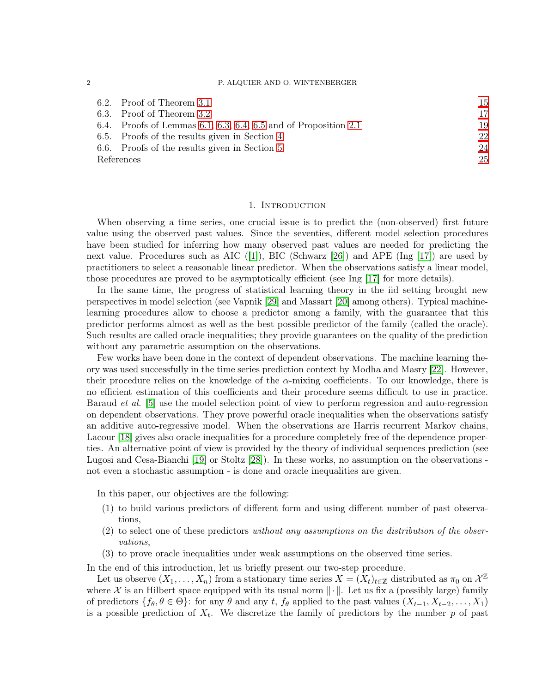#### 2 P. ALQUIER AND O. WINTENBERGER

|      | 6.2. Proof of Theorem 3.1                                       | 15 |
|------|-----------------------------------------------------------------|----|
| 6.3. | Proof of Theorem 3.2                                            | 17 |
|      | 6.4. Proofs of Lemmas 6.1, 6.3, 6.4, 6.5 and of Proposition 2.1 | 19 |
|      | 6.5. Proofs of the results given in Section 4                   | 22 |
|      | 6.6. Proofs of the results given in Section 5                   | 24 |
|      | References                                                      | 25 |

## 1. INTRODUCTION

<span id="page-1-0"></span>When observing a time series, one crucial issue is to predict the (non-observed) first future value using the observed past values. Since the seventies, different model selection procedures have been studied for inferring how many observed past values are needed for predicting the next value. Procedures such as AIC  $(|1|)$ , BIC (Schwarz [\[26\]](#page-25-0)) and APE (Ing [\[17\]](#page-25-1)) are used by practitioners to select a reasonable linear predictor. When the observations satisfy a linear model, those procedures are proved to be asymptotically efficient (see Ing [\[17\]](#page-25-1) for more details).

In the same time, the progress of statistical learning theory in the iid setting brought new perspectives in model selection (see Vapnik [\[29\]](#page-25-2) and Massart [\[20\]](#page-25-3) among others). Typical machinelearning procedures allow to choose a predictor among a family, with the guarantee that this predictor performs almost as well as the best possible predictor of the family (called the oracle). Such results are called oracle inequalities; they provide guarantees on the quality of the prediction without any parametric assumption on the observations.

Few works have been done in the context of dependent observations. The machine learning theory was used successfully in the time series prediction context by Modha and Masry [\[22\]](#page-25-4). However, their procedure relies on the knowledge of the  $\alpha$ -mixing coefficients. To our knowledge, there is no efficient estimation of this coefficients and their procedure seems difficult to use in practice. Baraud *et al.* [\[5\]](#page-24-2) use the model selection point of view to perform regression and auto-regression on dependent observations. They prove powerful oracle inequalities when the observations satisfy an additive auto-regressive model. When the observations are Harris recurrent Markov chains, Lacour [\[18\]](#page-25-5) gives also oracle inequalities for a procedure completely free of the dependence properties. An alternative point of view is provided by the theory of individual sequences prediction (see Lugosi and Cesa-Bianchi [\[19\]](#page-25-6) or Stoltz [\[28\]](#page-25-7)). In these works, no assumption on the observations not even a stochastic assumption - is done and oracle inequalities are given.

In this paper, our objectives are the following:

- (1) to build various predictors of different form and using different number of past observations,
- (2) to select one of these predictors *without any assumptions on the distribution of the observations*,
- (3) to prove oracle inequalities under weak assumptions on the observed time series.

In the end of this introduction, let us briefly present our two-step procedure.

Let us observe  $(X_1, \ldots, X_n)$  from a stationary time series  $X = (X_t)_{t \in \mathbb{Z}}$  distributed as  $\pi_0$  on  $\mathcal{X}^{\mathbb{Z}}$ where X is an Hilbert space equipped with its usual norm  $\|\cdot\|$ . Let us fix a (possibly large) family of predictors  $\{f_\theta, \theta \in \Theta\}$ : for any  $\theta$  and any t,  $f_\theta$  applied to the past values  $(X_{t-1}, X_{t-2}, \ldots, X_1)$ is a possible prediction of  $X_t$ . We discretize the family of predictors by the number p of past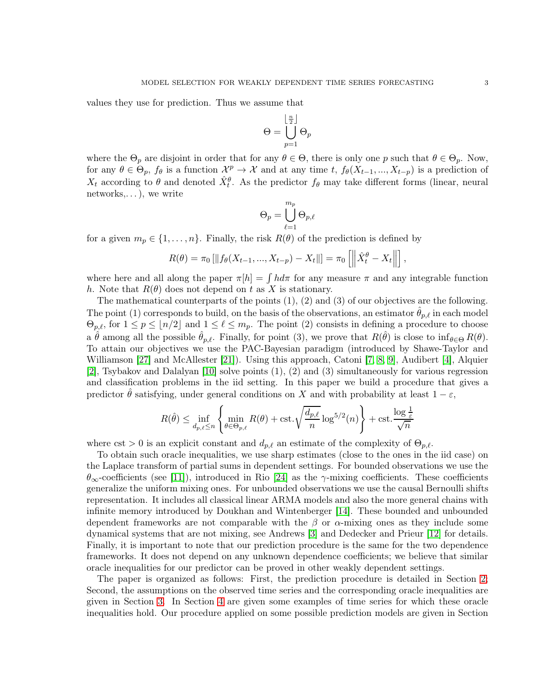values they use for prediction. Thus we assume that

$$
\Theta = \bigcup_{p=1}^{\left\lfloor\frac{n}{2}\right\rfloor} \Theta_p
$$

where the  $\Theta_p$  are disjoint in order that for any  $\theta \in \Theta$ , there is only one p such that  $\theta \in \Theta_p$ . Now, for any  $\theta \in \Theta_p$ ,  $f_{\theta}$  is a function  $\mathcal{X}^p \to \mathcal{X}$  and at any time t,  $f_{\theta}(X_{t-1},...,X_{t-p})$  is a prediction of  $X_t$  according to  $\theta$  and denoted  $\hat{X}_t^{\theta}$ . As the predictor  $f_{\theta}$  may take different forms (linear, neural networks, $\dots$ , we write

$$
\Theta_p = \bigcup_{\ell=1}^{m_p} \Theta_{p,\ell}
$$

for a given  $m_p \in \{1, ..., n\}$ . Finally, the risk  $R(\theta)$  of the prediction is defined by

$$
R(\theta) = \pi_0 \left[ \| f_\theta(X_{t-1}, ..., X_{t-p}) - X_t \| \right] = \pi_0 \left[ \left\| \hat{X}_t^{\theta} - X_t \right\| \right],
$$

where here and all along the paper  $\pi[h] = \int h d\pi$  for any measure  $\pi$  and any integrable function h. Note that  $R(\theta)$  does not depend on t as X is stationary.

The mathematical counterparts of the points (1), (2) and (3) of our objectives are the following. The point (1) corresponds to build, on the basis of the observations, an estimator  $\hat{\theta}_{p,\ell}$  in each model  $\Theta_{p,\ell}$ , for  $1 \le p \le \lfloor n/2 \rfloor$  and  $1 \le \ell \le m_p$ . The point (2) consists in defining a procedure to choose a  $\hat{\theta}$  among all the possible  $\hat{\theta}_{p,\ell}$ . Finally, for point (3), we prove that  $R(\hat{\theta})$  is close to  $\inf_{\theta \in \Theta} R(\theta)$ . To attain our objectives we use the PAC-Bayesian paradigm (introduced by Shawe-Taylor and Williamson [\[27\]](#page-25-8) and McAllester [\[21\]](#page-25-9)). Using this approach, Catoni [\[7,](#page-24-3) [8,](#page-24-4) [9\]](#page-24-5), Audibert [\[4\]](#page-24-6), Alquier [\[2\]](#page-24-7), Tsybakov and Dalalyan [\[10\]](#page-24-8) solve points (1), (2) and (3) simultaneously for various regression and classification problems in the iid setting. In this paper we build a procedure that gives a predictor  $\hat{\theta}$  satisfying, under general conditions on X and with probability at least  $1 - \varepsilon$ ,

$$
R(\hat{\theta}) \le \inf_{d_{p,\ell} \le n} \left\{ \min_{\theta \in \Theta_{p,\ell}} R(\theta) + \text{cst.} \sqrt{\frac{d_{p,\ell}}{n}} \log^{5/2}(n) \right\} + \text{cst.} \frac{\log \frac{1}{\varepsilon}}{\sqrt{n}}
$$

where cst > 0 is an explicit constant and  $d_{p,\ell}$  an estimate of the complexity of  $\Theta_{p,\ell}$ .

To obtain such oracle inequalities, we use sharp estimates (close to the ones in the iid case) on the Laplace transform of partial sums in dependent settings. For bounded observations we use the  $\theta_{\infty}$ -coefficients (see [\[11\]](#page-24-9)), introduced in Rio [\[24\]](#page-25-10) as the γ-mixing coefficients. These coefficients generalize the uniform mixing ones. For unbounded observations we use the causal Bernoulli shifts representation. It includes all classical linear ARMA models and also the more general chains with infinite memory introduced by Doukhan and Wintenberger [\[14\]](#page-24-10). These bounded and unbounded dependent frameworks are not comparable with the  $\beta$  or  $\alpha$ -mixing ones as they include some dynamical systems that are not mixing, see Andrews [\[3\]](#page-24-11) and Dedecker and Prieur [\[12\]](#page-24-12) for details. Finally, it is important to note that our prediction procedure is the same for the two dependence frameworks. It does not depend on any unknown dependence coefficients; we believe that similar oracle inequalities for our predictor can be proved in other weakly dependent settings.

The paper is organized as follows: First, the prediction procedure is detailed in Section [2;](#page-3-0) Second, the assumptions on the observed time series and the corresponding oracle inequalities are given in Section [3.](#page-4-3) In Section [4](#page-6-1) are given some examples of time series for which these oracle inequalities hold. Our procedure applied on some possible prediction models are given in Section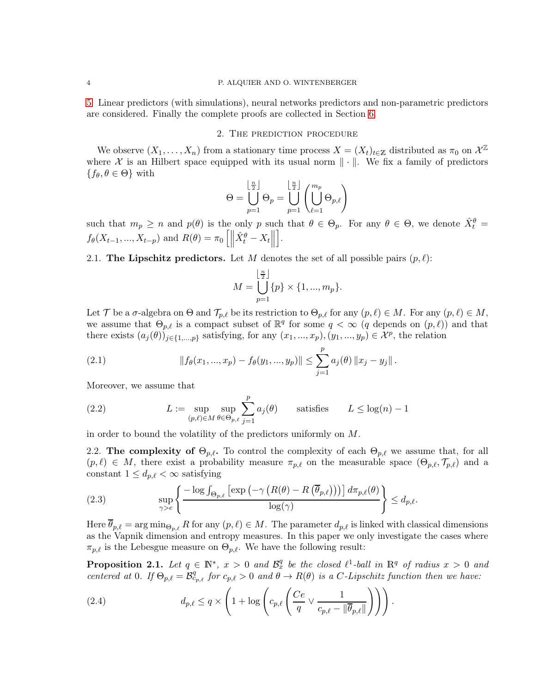<span id="page-3-0"></span>[5.](#page-8-0) Linear predictors (with simulations), neural networks predictors and non-parametric predictors are considered. Finally the complete proofs are collected in Section [6.](#page-13-1)

#### 2. The prediction procedure

We observe  $(X_1, \ldots, X_n)$  from a stationary time process  $X = (X_t)_{t \in \mathbb{Z}}$  distributed as  $\pi_0$  on  $\mathcal{X}^{\mathbb{Z}}$ where X is an Hilbert space equipped with its usual norm  $\|\cdot\|$ . We fix a family of predictors  ${f_{\theta}, \theta \in \Theta}$  with

$$
\Theta = \bigcup_{p=1}^{\lfloor \frac{n}{2} \rfloor} \Theta_p = \bigcup_{p=1}^{\lfloor \frac{n}{2} \rfloor} \left( \bigcup_{\ell=1}^{m_p} \Theta_{p,\ell} \right)
$$

such that  $m_p \ge n$  and  $p(\theta)$  is the only p such that  $\theta \in \Theta_p$ . For any  $\theta \in \Theta$ , we denote  $\hat{X}_t^{\theta} =$  $f_{\theta}(X_{t-1},...,X_{t-p})$  and  $R(\theta) = \pi_0 \left[ \left\| \hat{X}_t^{\theta} - X_t \right\| \right]$ i .

<span id="page-3-1"></span>2.1. The Lipschitz predictors. Let M denotes the set of all possible pairs  $(p, l)$ :

$$
M = \bigcup_{p=1}^{\lfloor \frac{n}{2} \rfloor} \{p\} \times \{1, ..., m_p\}.
$$

Let T be a  $\sigma$ -algebra on  $\Theta$  and  $\mathcal{T}_{p,\ell}$  be its restriction to  $\Theta_{p,\ell}$  for any  $(p,\ell) \in M$ . For any  $(p,\ell) \in M$ , we assume that  $\Theta_{p,\ell}$  is a compact subset of  $\mathbb{R}^q$  for some  $q < \infty$  (q depends on  $(p,\ell)$ ) and that there exists  $(a_j(\theta))_{j\in\{1,\dots,p\}}$  satisfying, for any  $(x_1,...,x_p)$ ,  $(y_1,...,y_p) \in \mathcal{X}^p$ , the relation

(2.1) 
$$
|| f_{\theta}(x_1, ..., x_p) - f_{\theta}(y_1, ..., y_p)|| \leq \sum_{j=1}^p a_j(\theta) ||x_j - y_j||.
$$

Moreover, we assume that

(2.2) 
$$
L := \sup_{(p,\ell) \in M} \sup_{\theta \in \Theta_{p,\ell}} \sum_{j=1}^p a_j(\theta) \quad \text{satisfies} \quad L \le \log(n) - 1
$$

<span id="page-3-2"></span>in order to bound the volatility of the predictors uniformly on M.

2.2. The complexity of  $\Theta_{p,\ell}$ . To control the complexity of each  $\Theta_{p,\ell}$  we assume that, for all  $(p, l) \in M$ , there exist a probability measure  $\pi_{p,\ell}$  on the measurable space  $(\Theta_{p,\ell}, \mathcal{T}_{p,\ell})$  and a constant  $1 \leq d_{p,\ell} < \infty$  satisfying

<span id="page-3-4"></span>(2.3) 
$$
\sup_{\gamma > e} \left\{ \frac{-\log \int_{\Theta_{p,\ell}} \left[ \exp \left( -\gamma \left( R(\theta) - R\left( \overline{\theta}_{p,\ell} \right) \right) \right) \right] d\pi_{p,\ell}(\theta)}{\log(\gamma)} \right\} \leq d_{p,\ell}.
$$

Here  $\overline{\theta}_{p,\ell} = \arg \min_{\Theta_{p,\ell}} R$  for any  $(p,\ell) \in M$ . The parameter  $d_{p,\ell}$  is linked with classical dimensions as the Vapnik dimension and entropy measures. In this paper we only investigate the cases where  $\pi_{p,\ell}$  is the Lebesgue measure on  $\Theta_{p,\ell}$ . We have the following result:

<span id="page-3-3"></span>**Proposition 2.1.** Let  $q \in \mathbb{N}^*$ ,  $x > 0$  and  $\mathcal{B}_x^q$  be the closed  $\ell^1$ -ball in  $\mathbb{R}^q$  of radius  $x > 0$  and *centered at* 0*. If*  $\Theta_{p,\ell} = \mathcal{B}_{c_{p,\ell}}^q$  *for*  $c_{p,\ell} > 0$  *and*  $\theta \to R(\theta)$  *is a C-Lipschitz function then we have:* 

(2.4) 
$$
d_{p,\ell} \le q \times \left(1 + \log \left( c_{p,\ell} \left( \frac{Ce}{q} \vee \frac{1}{c_{p,\ell} - ||\overline{\theta}_{p,\ell}||} \right) \right) \right).
$$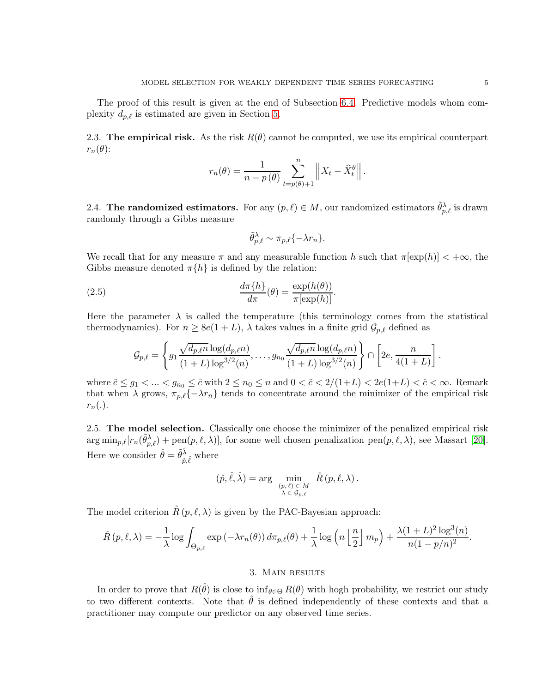<span id="page-4-0"></span>2.3. The empirical risk. As the risk  $R(\theta)$  cannot be computed, we use its empirical counterpart  $r_n(\theta)$ :

$$
r_n(\theta) = \frac{1}{n-p(\theta)} \sum_{t=p(\theta)+1}^n \left\| X_t - \hat{X}_t^{\theta} \right\|.
$$

<span id="page-4-1"></span>2.4. The randomized estimators. For any  $(p, \ell) \in M$ , our randomized estimators  $\tilde{\theta}_{p,\ell}^{\lambda}$  is drawn randomly through a Gibbs measure

<span id="page-4-4"></span>
$$
\tilde{\theta}_{p,\ell}^{\lambda} \sim \pi_{p,\ell} \{-\lambda r_n\}.
$$

We recall that for any measure  $\pi$  and any measurable function h such that  $\pi[\exp(h)] < +\infty$ , the Gibbs measure denoted  $\pi\{h\}$  is defined by the relation:

(2.5) 
$$
\frac{d\pi\{h\}}{d\pi}(\theta) = \frac{\exp(h(\theta))}{\pi[\exp(h)]}.
$$

Here the parameter  $\lambda$  is called the temperature (this terminology comes from the statistical thermodynamics). For  $n \ge 8e(1+L)$ ,  $\lambda$  takes values in a finite grid  $\mathcal{G}_{p,\ell}$  defined as

$$
\mathcal{G}_{p,\ell} = \left\{ g_1 \frac{\sqrt{d_{p,\ell}n} \log(d_{p,\ell}n)}{(1+L) \log^{3/2}(n)}, \ldots, g_{n_0} \frac{\sqrt{d_{p,\ell}n} \log(d_{p,\ell}n)}{(1+L) \log^{3/2}(n)} \right\} \cap \left[2e, \frac{n}{4(1+L)}\right].
$$

where  $\tilde{c} \leq g_1 < \ldots < g_{n_0} \leq \hat{c}$  with  $2 \leq n_0 \leq n$  and  $0 < \tilde{c} < 2/(1+L) < 2e(1+L) < \hat{c} < \infty$ . Remark that when  $\lambda$  grows,  $\pi_{p,\ell}\{-\lambda r_n\}$  tends to concentrate around the minimizer of the empirical risk  $r_n(.)$ .

<span id="page-4-2"></span>2.5. The model selection. Classically one choose the minimizer of the penalized empirical risk  $\arg \min_{p,\ell} [r_n(\tilde{\theta}_{p,\ell}^{\lambda}) + \text{pen}(p,\ell,\lambda)],$  for some well chosen penalization  $\text{pen}(p,\ell,\lambda)$ , see Massart [\[20\]](#page-25-3). Here we consider  $\hat{\theta} = \tilde{\theta}^{\hat{\lambda}}$  $\hat{p}, \hat{\ell}$  where

$$
(\hat{p}, \hat{\ell}, \hat{\lambda}) = \arg \min_{\substack{(p,\ell) \in M \\ \lambda \in \mathcal{G}_{p,\ell}}} \hat{R}(p,\ell,\lambda).
$$

The model criterion  $\hat{R}(p,\ell,\lambda)$  is given by the PAC-Bayesian approach:

$$
\hat{R}(p,\ell,\lambda) = -\frac{1}{\lambda} \log \int_{\Theta_{p,\ell}} \exp(-\lambda r_n(\theta)) d\pi_{p,\ell}(\theta) + \frac{1}{\lambda} \log \left( n \left\lfloor \frac{n}{2} \right\rfloor m_p \right) + \frac{\lambda (1+L)^2 \log^3(n)}{n(1-p/n)^2}.
$$

# 3. Main results

<span id="page-4-3"></span>In order to prove that  $R(\hat{\theta})$  is close to  $\inf_{\theta \in \Theta} R(\theta)$  with hogh probability, we restrict our study to two different contexts. Note that  $\hat{\theta}$  is defined independently of these contexts and that a practitioner may compute our predictor on any observed time series.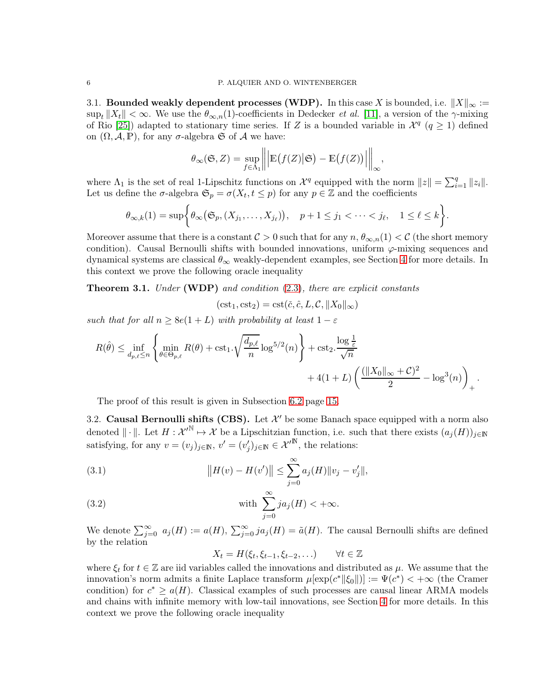<span id="page-5-0"></span>3.1. Bounded weakly dependent processes (WDP). In this case X is bounded, i.e.  $||X||_{\infty} :=$  $\sup_t \|X_t\| < \infty$ . We use the  $\theta_{\infty,n}(1)$ -coefficients in Dedecker *et al.* [\[11\]](#page-24-9), a version of the  $\gamma$ -mixing of Rio [\[25\]](#page-25-11)) adapted to stationary time series. If Z is a bounded variable in  $\mathcal{X}^q$  ( $q \geq 1$ ) defined on  $(\Omega, \mathcal{A}, \mathbb{P})$ , for any  $\sigma$ -algebra G of A we have:

$$
\theta_{\infty}(\mathfrak{S}, Z) = \sup_{f \in \Lambda_1} \left\| \left| \mathbb{E}\big(f(Z) \big| \mathfrak{S}\big) - \mathbb{E}\big(f(Z)\big) \right| \right\|_{\infty}
$$

,

where  $\Lambda_1$  is the set of real 1-Lipschitz functions on  $\mathcal{X}^q$  equipped with the norm  $||z|| = \sum_{i=1}^q ||z_i||$ . Let us define the  $\sigma$ -algebra  $\mathfrak{S}_p = \sigma(X_t, t \leq p)$  for any  $p \in \mathbb{Z}$  and the coefficients

$$
\theta_{\infty,k}(1)=\sup\biggl\{\theta_{\infty}\bigl(\mathfrak{S}_p,(X_{j_1},\ldots,X_{j_\ell})\bigr),\quad p+1\leq j_1<\cdots
$$

Moreover assume that there is a constant  $C > 0$  such that for any  $n, \theta_{\infty,n}(1) < C$  (the short memory condition). Causal Bernoulli shifts with bounded innovations, uniform  $\varphi$ -mixing sequences and dynamical systems are classical  $\theta_{\infty}$  weakly-dependent examples, see Section [4](#page-6-1) for more details. In this context we prove the following oracle inequality

<span id="page-5-2"></span>Theorem 3.1. *Under* (WDP) *and condition* [\(2.3\)](#page-3-4)*, there are explicit constants*

$$
(\mathrm{cst}_1, \mathrm{cst}_2) = \mathrm{cst}(\check{c}, \hat{c}, L, C, \|X_0\|_{\infty})
$$

*such that for all*  $n \ge 8e(1+L)$  *with probability at least*  $1-\varepsilon$ 

$$
R(\hat{\theta}) \le \inf_{d_p, \ell \le n} \left\{ \min_{\theta \in \Theta_{p,\ell}} R(\theta) + \text{cst}_1 \cdot \sqrt{\frac{d_{p,\ell}}{n}} \log^{5/2}(n) \right\} + \text{cst}_2 \cdot \frac{\log \frac{1}{\varepsilon}}{\sqrt{n}} + 4(1+L) \left( \frac{(\|X_0\|_{\infty} + C)^2}{2} - \log^3(n) \right)_+.
$$

The proof of this result is given in Subsection [6.2](#page-14-0) page [15.](#page-14-0)

<span id="page-5-1"></span>3.2. **Causal Bernoulli shifts (CBS).** Let  $\mathcal{X}'$  be some Banach space equipped with a norm also denoted  $\|\cdot\|$ . Let  $H: \mathcal{X}'^{\mathbb{N}} \mapsto \mathcal{X}$  be a Lipschitzian function, i.e. such that there exists  $(a_j(H))_{j\in\mathbb{N}}$ satisfying, for any  $v = (v_j)_{j \in \mathbb{N}}, v' = (v'_j)_{j \in \mathbb{N}} \in \mathcal{X}'^{\mathbb{N}}$ , the relations:

<span id="page-5-4"></span>(3.1) 
$$
||H(v) - H(v')|| \le \sum_{j=0}^{\infty} a_j(H) ||v_j - v'_j||,
$$

<span id="page-5-3"></span>(3.2) with 
$$
\sum_{j=0}^{\infty} ja_j(H) < +\infty.
$$

We denote  $\sum_{j=0}^{\infty} a_j(H) := a(H)$ ,  $\sum_{j=0}^{\infty} ja_j(H) = \tilde{a}(H)$ . The causal Bernoulli shifts are defined by the relation

$$
X_t = H(\xi_t, \xi_{t-1}, \xi_{t-2}, \ldots) \qquad \forall t \in \mathbb{Z}
$$

where  $\xi_t$  for  $t \in \mathbb{Z}$  are iid variables called the innovations and distributed as  $\mu$ . We assume that the innovation's norm admits a finite Laplace transform  $\mu[\exp(c^*||\xi_0||)] := \Psi(c^*) < +\infty$  (the Cramer condition) for  $c^* \ge a(H)$ . Classical examples of such processes are causal linear ARMA models and chains with infinite memory with low-tail innovations, see Section [4](#page-6-1) for more details. In this context we prove the following oracle inequality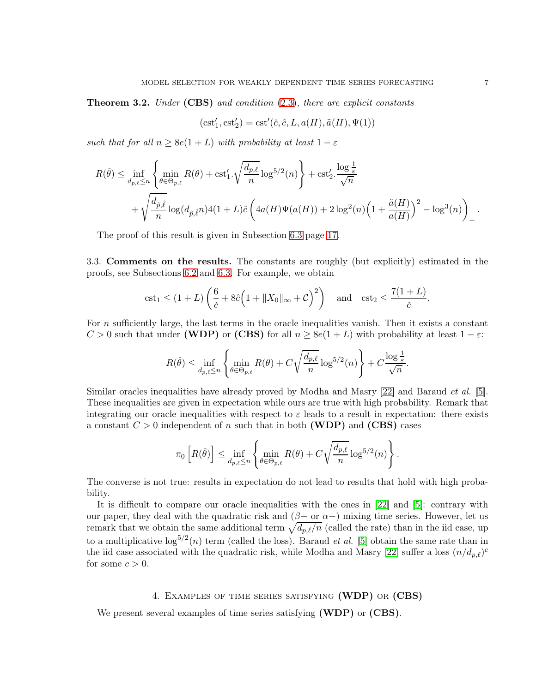<span id="page-6-2"></span>Theorem 3.2. *Under* (CBS) *and condition* [\(2.3\)](#page-3-4)*, there are explicit constants*

$$
(\mathrm{cst}'_1, \mathrm{cst}'_2) = \mathrm{cst}'(\check{c}, \hat{c}, L, a(H), \tilde{a}(H), \Psi(1))
$$

*such that for all*  $n \ge 8e(1+L)$  *with probability at least*  $1 - \varepsilon$ 

$$
R(\hat{\theta}) \le \inf_{d_{p,\ell} \le n} \left\{ \min_{\theta \in \Theta_{p,\ell}} R(\theta) + \text{cst}'_1 \cdot \sqrt{\frac{d_{p,\ell}}{n}} \log^{5/2}(n) \right\} + \text{cst}'_2 \cdot \frac{\log \frac{1}{\varepsilon}}{\sqrt{n}} + \sqrt{\frac{d_{\hat{p},\hat{\ell}}}{n}} \log(d_{\hat{p},\hat{\ell}} n) 4(1+L)\hat{c} \left( 4a(H)\Psi(a(H)) + 2\log^2(n) \left( 1 + \frac{\tilde{a}(H)}{a(H)} \right)^2 - \log^3(n) \right)_+.
$$

The proof of this result is given in Subsection [6.3](#page-16-0) page [17.](#page-16-0)

<span id="page-6-0"></span>3.3. Comments on the results. The constants are roughly (but explicitly) estimated in the proofs, see Subsections [6.2](#page-14-0) and [6.3.](#page-16-0) For example, we obtain

$$
\mathrm{cst}_1 \le (1+L) \left( \frac{6}{\check{c}} + 8\hat{c} \left( 1 + \|X_0\|_{\infty} + \mathcal{C} \right)^2 \right) \quad \text{and} \quad \mathrm{cst}_2 \le \frac{7(1+L)}{\check{c}}.
$$

For  $n$  sufficiently large, the last terms in the oracle inequalities vanish. Then it exists a constant  $C > 0$  such that under (WDP) or (CBS) for all  $n \ge 8e(1+L)$  with probability at least  $1-\varepsilon$ :

$$
R(\hat{\theta}) \le \inf_{d_p, \ell \le n} \left\{ \min_{\theta \in \Theta_{p,\ell}} R(\theta) + C \sqrt{\frac{d_{p,\ell}}{n}} \log^{5/2}(n) \right\} + C \frac{\log \frac{1}{\varepsilon}}{\sqrt{n}}.
$$

Similar oracles inequalities have already proved by Modha and Masry [\[22\]](#page-25-4) and Baraud *et al.* [\[5\]](#page-24-2). These inequalities are given in expectation while ours are true with high probability. Remark that integrating our oracle inequalities with respect to  $\varepsilon$  leads to a result in expectation: there exists a constant  $C > 0$  independent of n such that in both (WDP) and (CBS) cases

$$
\pi_0\left[R(\hat{\theta})\right] \leq \inf_{d_{p,\ell} \leq n} \left\{\min_{\theta \in \Theta_{p,\ell}} R(\theta) + C\sqrt{\frac{d_{p,\ell}}{n}}\log^{5/2}(n)\right\}.
$$

The converse is not true: results in expectation do not lead to results that hold with high probability.

It is difficult to compare our oracle inequalities with the ones in [\[22\]](#page-25-4) and [\[5\]](#page-24-2): contrary with our paper, they deal with the quadratic risk and  $(β-$  or  $α-$ ) mixing time series. However, let us remark that we obtain the same additional term  $\sqrt{d_{p,\ell}/n}$  (called the rate) than in the iid case, up to a multiplicative  $\log^{5/2}(n)$  term (called the loss). Baraud *et al.* [\[5\]](#page-24-2) obtain the same rate than in the iid case associated with the quadratic risk, while Modha and Masry [\[22\]](#page-25-4) suffer a loss  $(n/d_{p,\ell})^c$ for some  $c > 0$ .

# 4. Examples of time series satisfying (WDP) or (CBS)

<span id="page-6-1"></span>We present several examples of time series satisfying (WDP) or (CBS).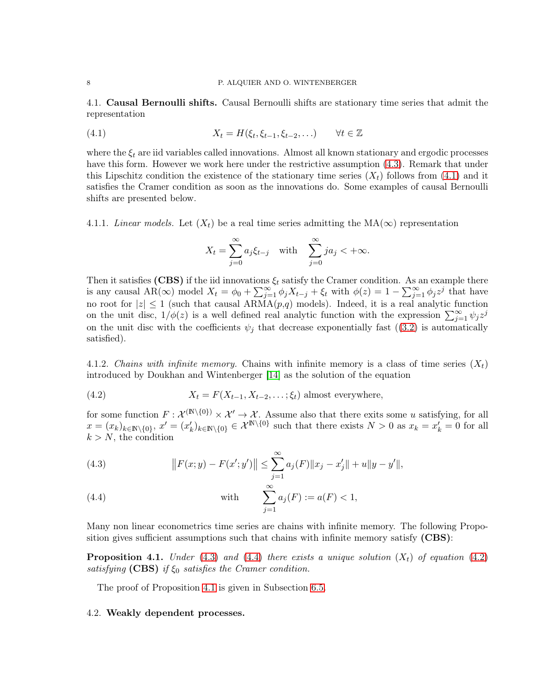<span id="page-7-0"></span>4.1. Causal Bernoulli shifts. Causal Bernoulli shifts are stationary time series that admit the representation

(4.1) 
$$
X_t = H(\xi_t, \xi_{t-1}, \xi_{t-2}, \ldots) \qquad \forall t \in \mathbb{Z}
$$

where the  $\xi_t$  are iid variables called innovations. Almost all known stationary and ergodic processes have this form. However we work here under the restrictive assumption  $(4.3)$ . Remark that under this Lipschitz condition the existence of the stationary time series  $(X_t)$  follows from [\(4.1\)](#page-7-3) and it satisfies the Cramer condition as soon as the innovations do. Some examples of causal Bernoulli shifts are presented below.

4.1.1. *Linear models.* Let  $(X_t)$  be a real time series admitting the MA( $\infty$ ) representation

<span id="page-7-3"></span>
$$
X_t = \sum_{j=0}^{\infty} a_j \xi_{t-j} \quad \text{with} \quad \sum_{j=0}^{\infty} j a_j < +\infty.
$$

Then it satisfies (CBS) if the iid innovations  $\xi_t$  satisfy the Cramer condition. As an example there is any causal AR(∞) model  $X_t = \phi_0 + \sum_{j=1}^{\infty} \phi_j X_{t-j} + \xi_t$  with  $\phi(z) = 1 - \sum_{j=1}^{\infty} \phi_j z^j$  that have no root for  $|z| \le 1$  (such that causal ARMA $(p,q)$  models). Indeed, it is a real analytic function on the unit disc,  $1/\phi(z)$  is a well defined real analytic function with the expression  $\sum_{j=1}^{\infty} \psi_j z^j$ on the unit disc with the coefficients  $\psi_j$  that decrease exponentially fast ([\(3.2\)](#page-5-3) is automatically satisfied).

4.1.2. *Chains with infinite memory*. Chains with infinite memory is a class of time series  $(X_t)$ introduced by Doukhan and Wintenberger [\[14\]](#page-24-10) as the solution of the equation

<span id="page-7-5"></span>(4.2) 
$$
X_t = F(X_{t-1}, X_{t-2}, \dots; \xi_t) \text{ almost everywhere},
$$

for some function  $F: \mathcal{X}^{(\mathbb{N}\setminus\{0\})}\times\mathcal{X}'\to\mathcal{X}$ . Assume also that there exits some u satisfying, for all  $x = (x_k)_{k \in \mathbb{N} \setminus \{0\}}$ ,  $x' = (x'_k)_{k \in \mathbb{N} \setminus \{0\}} \in \mathcal{X}^{\mathbb{N} \setminus \{0\}}$  such that there exists  $N > 0$  as  $x_k = x'_k = 0$  for all  $k > N$ , the condition

<span id="page-7-2"></span>(4.3) 
$$
||F(x; y) - F(x'; y')|| \le \sum_{j=1}^{\infty} a_j(F) ||x_j - x'_j|| + u||y - y'||,
$$

<span id="page-7-4"></span>(4.4) with 
$$
\sum_{j=1}^{\infty} a_j(F) := a(F) < 1
$$
,

Many non linear econometrics time series are chains with infinite memory. The following Proposition gives sufficient assumptions such that chains with infinite memory satisfy (CBS):

<span id="page-7-6"></span>**Proposition 4.1.** *Under* [\(4.3\)](#page-7-2) *and* [\(4.4\)](#page-7-4) *there exists a unique solution*  $(X_t)$  *of equation* [\(4.2\)](#page-7-5) *satisfying* (CBS) *if*  $\xi_0$  *satisfies the Cramer condition.* 

The proof of Proposition [4.1](#page-7-6) is given in Subsection [6.5.](#page-21-0)

#### <span id="page-7-1"></span>4.2. Weakly dependent processes.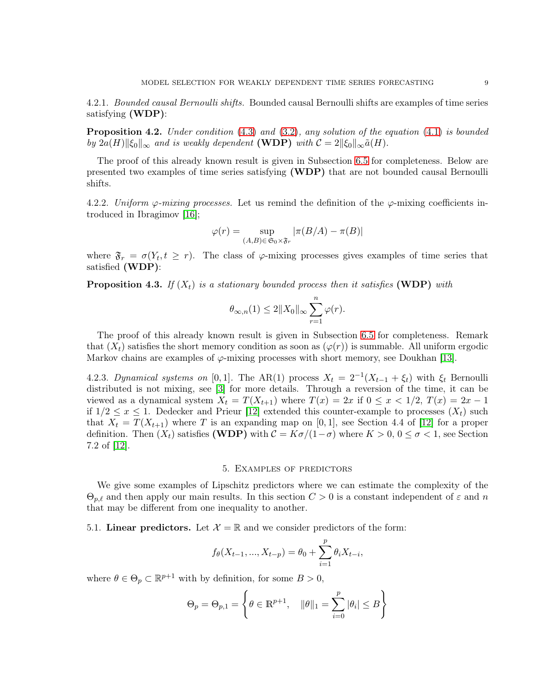4.2.1. *Bounded causal Bernoulli shifts.* Bounded causal Bernoulli shifts are examples of time series satisfying (WDP):

<span id="page-8-2"></span>Proposition 4.2. *Under condition* [\(4.3\)](#page-7-2) *and* [\(3.2\)](#page-5-3)*, any solution of the equation* [\(4.1\)](#page-7-3) *is bounded by*  $2a(H)\|\xi_0\|_{\infty}$  *and is weakly dependent* (WDP) *with*  $C = 2\|\xi_0\|_{\infty} \tilde{a}(H)$ .

The proof of this already known result is given in Subsection [6.5](#page-21-0) for completeness. Below are presented two examples of time series satisfying (WDP) that are not bounded causal Bernoulli shifts.

4.2.2. *Uniform*  $\varphi$ *-mixing processes.* Let us remind the definition of the  $\varphi$ -mixing coefficients introduced in Ibragimov [\[16\]](#page-25-12);

$$
\varphi(r) = \sup_{(A,B)\in\mathfrak{S}_0\times\mathfrak{F}_r} |\pi(B/A) - \pi(B)|
$$

where  $\mathfrak{F}_r = \sigma(Y_t, t \geq r)$ . The class of  $\varphi$ -mixing processes gives examples of time series that satisfied (WDP):

<span id="page-8-3"></span>**Proposition 4.3.** *If*  $(X_t)$  *is a stationary bounded process then it satisfies* (WDP) *with* 

$$
\theta_{\infty,n}(1) \le 2||X_0||_{\infty} \sum_{r=1}^n \varphi(r).
$$

The proof of this already known result is given in Subsection [6.5](#page-21-0) for completeness. Remark that  $(X_t)$  satisfies the short memory condition as soon as  $(\varphi(r))$  is summable. All uniform ergodic Markov chains are examples of  $\varphi$ -mixing processes with short memory, see Doukhan [\[13\]](#page-24-13).

4.2.3. *Dynamical systems on* [0,1]. The AR(1) process  $X_t = 2^{-1}(X_{t-1} + \xi_t)$  with  $\xi_t$  Bernoulli distributed is not mixing, see [\[3\]](#page-24-11) for more details. Through a reversion of the time, it can be viewed as a dynamical system  $X_t = T(X_{t+1})$  where  $T(x) = 2x$  if  $0 \le x < 1/2$ ,  $T(x) = 2x - 1$ if  $1/2 \leq x \leq 1$ . Dedecker and Prieur [\[12\]](#page-24-12) extended this counter-example to processes  $(X_t)$  such that  $X_t = T(X_{t+1})$  where T is an expanding map on [0,1], see Section 4.4 of [\[12\]](#page-24-12) for a proper definition. Then  $(X_t)$  satisfies (WDP) with  $C = K\sigma/(1-\sigma)$  where  $K > 0, 0 \le \sigma < 1$ , see Section 7.2 of [\[12\]](#page-24-12).

#### 5. Examples of predictors

<span id="page-8-0"></span>We give some examples of Lipschitz predictors where we can estimate the complexity of the  $\Theta_{p,\ell}$  and then apply our main results. In this section  $C > 0$  is a constant independent of  $\varepsilon$  and n that may be different from one inequality to another.

<span id="page-8-1"></span>5.1. Linear predictors. Let  $\mathcal{X} = \mathbb{R}$  and we consider predictors of the form:

$$
f_{\theta}(X_{t-1},...,X_{t-p}) = \theta_0 + \sum_{i=1}^{p} \theta_i X_{t-i},
$$

where  $\theta \in \Theta_p \subset \mathbb{R}^{p+1}$  with by definition, for some  $B > 0$ ,

$$
\Theta_p = \Theta_{p,1} = \left\{\theta \in \mathbb{R}^{p+1}, \quad \|\theta\|_1 = \sum_{i=0}^p |\theta_i| \leq B \right\}
$$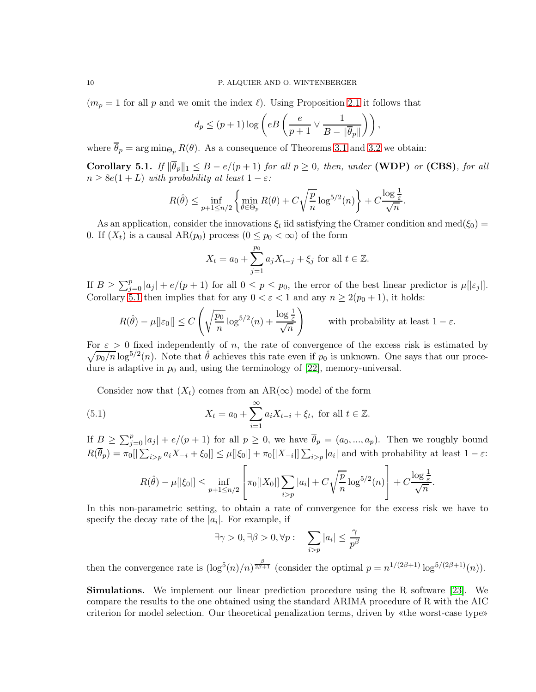$(m_p = 1$  for all p and we omit the index  $\ell$ ). Using Proposition [2.1](#page-3-3) it follows that

$$
d_p \le (p+1)\log\left(eB\left(\frac{e}{p+1} \vee \frac{1}{B - \|\overline{\theta}_p\|}\right)\right),
$$

where  $\overline{\theta}_p = \arg \min_{\Theta_p} R(\theta)$ . As a consequence of Theorems [3.1](#page-5-2) and [3.2](#page-6-2) we obtain:

<span id="page-9-0"></span>Corollary 5.1. *If*  $\|\overline{\theta}_p\|_1 \leq B - e/(p+1)$  *for all*  $p \geq 0$ *, then, under* (WDP) *or* (CBS)*, for all*  $n \geq 8e(1+L)$  *with probability at least*  $1 - \varepsilon$ *:* 

$$
R(\hat{\theta}) \le \inf_{p+1 \le n/2} \left\{ \min_{\theta \in \Theta_p} R(\theta) + C\sqrt{\frac{p}{n}} \log^{5/2}(n) \right\} + C\frac{\log \frac{1}{\varepsilon}}{\sqrt{n}}
$$

.

As an application, consider the innovations  $\xi_t$  iid satisfying the Cramer condition and med $(\xi_0)$  = 0. If  $(X_t)$  is a causal  $AR(p_0)$  process  $(0 \leq p_0 < \infty)$  of the form

$$
X_t = a_0 + \sum_{j=1}^{p_0} a_j X_{t-j} + \xi_j
$$
 for all  $t \in \mathbb{Z}$ .

If  $B \ge \sum_{j=0}^p |a_j| + e/(p+1)$  for all  $0 \le p \le p_0$ , the error of the best linear predictor is  $\mu[|\varepsilon_j|]$ . Corollary [5.1](#page-9-0) then implies that for any  $0 < \varepsilon < 1$  and any  $n \ge 2(p_0 + 1)$ , it holds:

$$
R(\hat{\theta}) - \mu[|\varepsilon_0|] \le C\left(\sqrt{\frac{p_0}{n}}\log^{5/2}(n) + \frac{\log \frac{1}{\varepsilon}}{\sqrt{n}}\right) \qquad \text{with probability at least } 1 - \varepsilon.
$$

 $\sqrt{p_0/n} \log^{5/2}(n)$ . Note that  $\hat{\theta}$  achieves this rate even if  $p_0$  is unknown. One says that our proce-For  $\varepsilon > 0$  fixed independently of n, the rate of convergence of the excess risk is estimated by dure is adaptive in  $p_0$  and, using the terminology of [\[22\]](#page-25-4), memory-universal.

Consider now that  $(X_t)$  comes from an AR( $\infty$ ) model of the form

(5.1) 
$$
X_t = a_0 + \sum_{i=1}^{\infty} a_i X_{t-i} + \xi_t, \text{ for all } t \in \mathbb{Z}.
$$

If  $B \ge \sum_{j=0}^p |a_j| + e/(p+1)$  for all  $p \ge 0$ , we have  $\overline{\theta}_p = (a_0, ..., a_p)$ . Then we roughly bound  $R(\overline{\theta}_p) = \pi_0[|\sum_{i>p} a_i X_{-i} + \xi_0]| \leq \mu[|\xi_0|] + \pi_0[|X_{-i}|] \sum_{i>p} |a_i|$  and with probability at least  $1 - \varepsilon$ :

$$
R(\hat{\theta}) - \mu[|\xi_0|] \le \inf_{p+1 \le n/2} \left[ \pi_0[|X_0|] \sum_{i > p} |a_i| + C \sqrt{\frac{p}{n}} \log^{5/2}(n) \right] + C \frac{\log \frac{1}{\varepsilon}}{\sqrt{n}}.
$$

In this non-parametric setting, to obtain a rate of convergence for the excess risk we have to specify the decay rate of the  $|a_i|$ . For example, if

$$
\exists \gamma > 0, \exists \beta > 0, \forall p: \quad \sum_{i > p} |a_i| \le \frac{\gamma}{p^{\beta}}
$$

then the convergence rate is  $(\log^5(n)/n)^{\frac{\beta}{2\beta+1}}$  (consider the optimal  $p = n^{1/(2\beta+1)} \log^{5/(2\beta+1)}(n)$ ).

Simulations. We implement our linear prediction procedure using the R software [\[23\]](#page-25-13). We compare the results to the one obtained using the standard ARIMA procedure of R with the AIC criterion for model selection. Our theoretical penalization terms, driven by «the worst-case type»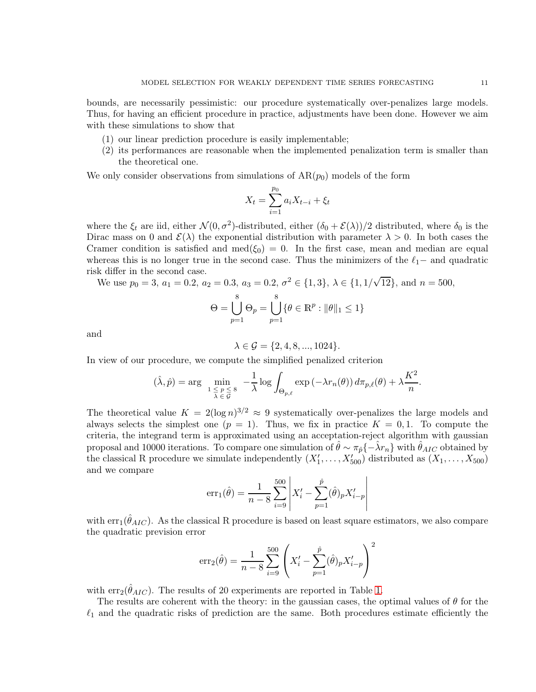bounds, are necessarily pessimistic: our procedure systematically over-penalizes large models. Thus, for having an efficient procedure in practice, adjustments have been done. However we aim with these simulations to show that

- (1) our linear prediction procedure is easily implementable;
- (2) its performances are reasonable when the implemented penalization term is smaller than the theoretical one.

We only consider observations from simulations of  $AR(p_0)$  models of the form

$$
X_t = \sum_{i=1}^{p_0} a_i X_{t-i} + \xi_t
$$

where the  $\xi_t$  are iid, either  $\mathcal{N}(0, \sigma^2)$ -distributed, either  $(\delta_0 + \mathcal{E}(\lambda))/2$  distributed, where  $\delta_0$  is the Dirac mass on 0 and  $\mathcal{E}(\lambda)$  the exponential distribution with parameter  $\lambda > 0$ . In both cases the Cramer condition is satisfied and med( $\xi_0$ ) = 0. In the first case, mean and median are equal whereas this is no longer true in the second case. Thus the minimizers of the  $\ell_1-$  and quadratic risk differ in the second case.

We use  $p_0 = 3$ ,  $a_1 = 0.2$ ,  $a_2 = 0.3$ ,  $a_3 = 0.2$ ,  $\sigma^2 \in \{1, 3\}$ ,  $\lambda \in \{1, 1/\sqrt{12}\}$ , and  $n = 500$ ,

$$
\Theta = \bigcup_{p=1}^8 \Theta_p = \bigcup_{p=1}^8 \{ \theta \in \mathbb{R}^p : ||\theta||_1 \leq 1 \}
$$

and

$$
\lambda \in \mathcal{G} = \{2, 4, 8, ..., 1024\}.
$$

In view of our procedure, we compute the simplified penalized criterion

$$
(\hat{\lambda}, \hat{p}) = \arg \min_{1 \leq p \leq 8 \atop \lambda \in \mathcal{G}} -\frac{1}{\lambda} \log \int_{\Theta_{p,\ell}} \exp(-\lambda r_n(\theta)) d\pi_{p,\ell}(\theta) + \lambda \frac{K^2}{n}.
$$

The theoretical value  $K = 2(\log n)^{3/2} \approx 9$  systematically over-penalizes the large models and always selects the simplest one  $(p = 1)$ . Thus, we fix in practice  $K = 0, 1$ . To compute the criteria, the integrand term is approximated using an acceptation-reject algorithm with gaussian proposal and 10000 iterations. To compare one simulation of  $\hat{\theta} \sim \pi_{\hat{p}}(-\hat{\lambda}r_n)$  with  $\hat{\theta}_{AIC}$  obtained by the classical R procedure we simulate independently  $(X'_1, \ldots, X'_{500})$  distributed as  $(X_1, \ldots, X_{500})$ and we compare  $\overline{\phantom{a}}$ 

$$
err_1(\hat{\theta}) = \frac{1}{n-8} \sum_{i=9}^{500} \left| X'_i - \sum_{p=1}^{\hat{p}} (\hat{\theta})_p X'_{i-p} \right|
$$

with  $err_1(\hat{\theta}_{AIC})$ . As the classical R procedure is based on least square estimators, we also compare the quadratic prevision error

$$
err_2(\hat{\theta}) = \frac{1}{n-8} \sum_{i=9}^{500} \left( X'_i - \sum_{p=1}^{\hat{p}} (\hat{\theta})_p X'_{i-p} \right)^2
$$

with  $err_2(\hat{\theta}_{AIC})$ . The results of 20 experiments are reported in Table [1.](#page-11-1)

The results are coherent with the theory: in the gaussian cases, the optimal values of  $\theta$  for the  $\ell_1$  and the quadratic risks of prediction are the same. Both procedures estimate efficiently the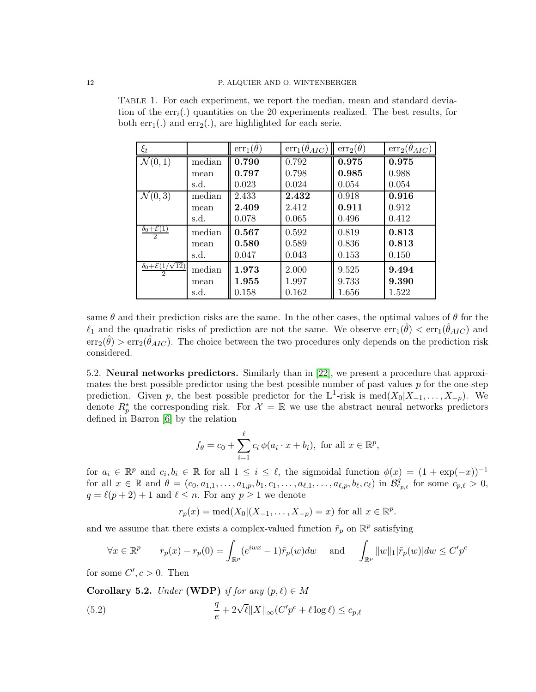<span id="page-11-1"></span>

| TABLE 1. For each experiment, we report the median, mean and standard devia-            |  |
|-----------------------------------------------------------------------------------------|--|
| tion of the $err_i$ .) quantities on the 20 experiments realized. The best results, for |  |
| both $err_1(.)$ and $err_2(.)$ , are highlighted for each serie.                        |  |

| $\xi_t$                                                 |        | $err_1(\hat{\theta})$ | $\overline{\text{err}}_1(\hat{\theta}_{AIC})$ | $err_2(\ddot{\theta})$ | $err_2(\ddot{\theta}_{AIC})$ |
|---------------------------------------------------------|--------|-----------------------|-----------------------------------------------|------------------------|------------------------------|
| $\mathcal{N}(0,1)$                                      | median | $\overline{0.790}$    | 0.792                                         | 0.975                  | 0.975                        |
|                                                         | mean   | 0.797                 | 0.798                                         | 0.985                  | 0.988                        |
|                                                         | s.d.   | 0.023                 | 0.024                                         | 0.054                  | 0.054                        |
| $\mathcal{N}(0,3)$                                      | median | 2.433                 | 2.432                                         | 0.918                  | 0.916                        |
|                                                         | mean   | 2.409                 | 2.412                                         | 0.911                  | 0.912                        |
|                                                         | s.d.   | 0.078                 | 0.065                                         | 0.496                  | 0.412                        |
| $\delta_0 + \mathcal{E}(1)$<br>$\overline{2}$           | median | 0.567                 | 0.592                                         | 0.819                  | 0.813                        |
|                                                         | mean   | 0.580                 | 0.589                                         | 0.836                  | 0.813                        |
|                                                         | s.d.   | 0.047                 | 0.043                                         | 0.153                  | 0.150                        |
| $\delta_0 + \mathcal{E}(1/\sqrt{12})$<br>$\mathfrak{D}$ | median | 1.973                 | 2.000                                         | 9.525                  | 9.494                        |
|                                                         | mean   | 1.955                 | 1.997                                         | 9.733                  | 9.390                        |
|                                                         | s.d.   | 0.158                 | 0.162                                         | 1.656                  | 1.522                        |

same  $\theta$  and their prediction risks are the same. In the other cases, the optimal values of  $\theta$  for the  $\ell_1$  and the quadratic risks of prediction are not the same. We observe  $err_1(\hat{\theta}) < err_1(\hat{\theta}_{AIC})$  and  $err_2(\hat{\theta}) > err_2(\hat{\theta}_{AIC})$ . The choice between the two procedures only depends on the prediction risk considered.

<span id="page-11-0"></span>5.2. Neural networks predictors. Similarly than in [\[22\]](#page-25-4), we present a procedure that approximates the best possible predictor using the best possible number of past values  $p$  for the one-step prediction. Given p, the best possible predictor for the  $\mathbb{L}^1$ -risk is med $(X_0|X_{-1},\ldots,X_{-p})$ . We denote  $R_p^*$  the corresponding risk. For  $\mathcal{X} = \mathbb{R}$  we use the abstract neural networks predictors defined in Barron [\[6\]](#page-24-14) by the relation

$$
f_{\theta} = c_0 + \sum_{i=1}^{\ell} c_i \, \phi(a_i \cdot x + b_i), \text{ for all } x \in \mathbb{R}^p,
$$

for  $a_i \in \mathbb{R}^p$  and  $c_i, b_i \in \mathbb{R}$  for all  $1 \leq i \leq \ell$ , the sigmoidal function  $\phi(x) = (1 + \exp(-x))^{-1}$ for all  $x \in \mathbb{R}$  and  $\theta = (c_0, a_{1,1}, \ldots, a_{1,p}, b_1, c_1, \ldots, a_{\ell,1}, \ldots, a_{\ell,p}, b_{\ell}, c_{\ell})$  in  $\mathcal{B}_{c_{p,\ell}}^{\mathcal{G}}$  for some  $c_{p,\ell} > 0$ ,  $q = \ell(p+2) + 1$  and  $\ell \leq n$ . For any  $p \geq 1$  we denote

$$
r_p(x) = \text{med}(X_0 | (X_{-1}, ..., X_{-p}) = x)
$$
 for all  $x \in \mathbb{R}^p$ .

and we assume that there exists a complex-valued function  $\tilde{r}_p$  on  $\mathbb{R}^p$  satisfying

$$
\forall x \in \mathbb{R}^p \qquad r_p(x) - r_p(0) = \int_{\mathbb{R}^p} (e^{iwx} - 1)\tilde{r}_p(w)dw \quad \text{ and } \quad \int_{\mathbb{R}^p} ||w||_1 |\tilde{r}_p(w)|dw \le C'p^c
$$

for some  $C', c > 0$ . Then

<span id="page-11-2"></span>**Corollary 5.2.** *Under* (WDP) *if for any*  $(p, \ell) \in M$ 

(5.2) 
$$
\frac{q}{e} + 2\sqrt{\ell} \|X\|_{\infty} (C'p^c + \ell \log \ell) \leq c_{p,\ell}
$$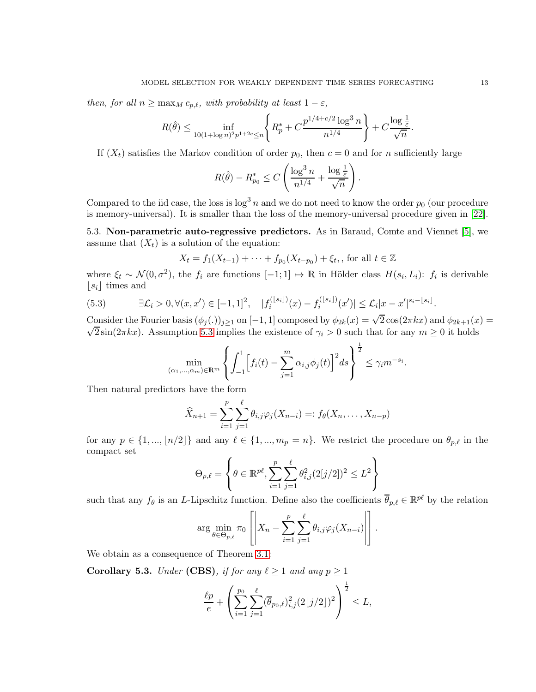*then, for all*  $n \geq \max_{M} c_{p,\ell}$ *, with probability at least*  $1 - \varepsilon$ *,* 

$$
R(\hat{\theta}) \le \inf_{10(1 + \log n)^2 p^{1+2c} \le n} \left\{ R_p^* + C \frac{p^{1/4 + c/2} \log^3 n}{n^{1/4}} \right\} + C \frac{\log \frac{1}{\varepsilon}}{\sqrt{n}}
$$

If  $(X_t)$  satisfies the Markov condition of order  $p_0$ , then  $c = 0$  and for *n* sufficiently large

$$
R(\hat{\theta}) - R_{p_0}^* \le C\left(\frac{\log^3 n}{n^{1/4}} + \frac{\log \frac{1}{\varepsilon}}{\sqrt{n}}\right).
$$

Compared to the iid case, the loss is  $\log^3 n$  and we do not need to know the order  $p_0$  (our procedure is memory-universal). It is smaller than the loss of the memory-universal procedure given in [\[22\]](#page-25-4).

<span id="page-12-0"></span>5.3. Non-parametric auto-regressive predictors. As in Baraud, Comte and Viennet [\[5\]](#page-24-2), we assume that  $(X_t)$  is a solution of the equation:

$$
X_t = f_1(X_{t-1}) + \cdots + f_{p_0}(X_{t-p_0}) + \xi_t
$$
, for all  $t \in \mathbb{Z}$ 

where  $\xi_t \sim \mathcal{N}(0, \sigma^2)$ , the  $f_i$  are functions  $[-1, 1] \mapsto \mathbb{R}$  in Hölder class  $H(s_i, L_i)$ :  $f_i$  is derivable  $|s_i|$  times and

<span id="page-12-1"></span>
$$
(5.3) \qquad \exists \mathcal{L}_i > 0, \forall (x, x') \in [-1, 1]^2, \quad |f_i^{(\lfloor s_i \rfloor)}(x) - f_i^{(\lfloor s_i \rfloor)}(x')| \le \mathcal{L}_i |x - x'|^{s_i - \lfloor s_i \rfloor}.
$$

Consider the Fourier basis  $(\phi_j(.))_{j\geq 1}$  on  $[-1,1]$  composed by  $\phi_{2k}(x) = \sqrt{2}\cos(2\pi kx)$  and  $\phi_{2k+1}(x) =$  $\sqrt{2} \sin(2\pi kx)$ . Assumption [5.3](#page-12-1) implies the existence of  $\gamma_i > 0$  such that for any  $m \ge 0$  it holds

$$
\min_{(\alpha_1,\ldots,\alpha_m)\in\mathbb{R}^m}\left\{\int_{-1}^1\Bigl[f_i(t)-\sum_{j=1}^m\alpha_{i,j}\phi_j(t)\Bigr]^2ds\right\}^{\frac{1}{2}}\leq\gamma_im^{-s_i}.
$$

Then natural predictors have the form

$$
\widehat{X}_{n+1} = \sum_{i=1}^{p} \sum_{j=1}^{\ell} \theta_{i,j} \varphi_j (X_{n-i}) =: f_{\theta}(X_n, \dots, X_{n-p})
$$

for any  $p \in \{1, ..., \lfloor n/2 \rfloor\}$  and any  $\ell \in \{1, ..., m_p = n\}$ . We restrict the procedure on  $\theta_{p,\ell}$  in the compact set

$$
\Theta_{p,\ell} = \left\{ \theta \in \mathbb{R}^{p\ell}, \sum_{i=1}^p \sum_{j=1}^\ell \theta_{i,j}^2 (2[j/2])^2 \leq L^2 \right\}
$$

such that any  $f_{\theta}$  is an L-Lipschitz function. Define also the coefficients  $\overline{\theta}_{p,\ell} \in \mathbb{R}^{p\ell}$  by the relation

$$
\arg\min_{\theta \in \Theta_{p,\ell}} \pi_0 \left[ \left| X_n - \sum_{i=1}^p \sum_{j=1}^\ell \theta_{i,j} \varphi_j(X_{n-i}) \right| \right].
$$

We obtain as a consequence of Theorem [3.1:](#page-5-2)

<span id="page-12-2"></span>**Corollary 5.3.** *Under* (CBS), *if for any*  $\ell \geq 1$  *and any*  $p \geq 1$ 

$$
\frac{\ell p}{e} + \left( \sum_{i=1}^{p_0} \sum_{j=1}^{\ell} (\overline{\theta}_{p_0, \ell})_{i,j}^2 (2[j/2])^2 \right)^{\frac{1}{2}} \le L,
$$

.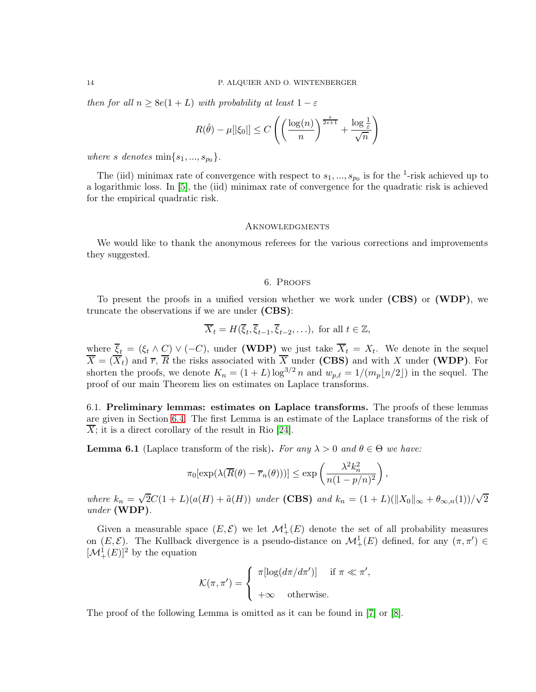*then for all*  $n \geq 8e(1+L)$  *with probability at least*  $1 - \varepsilon$ 

$$
R(\hat{\theta}) - \mu[|\xi_0|] \le C\left(\left(\frac{\log(n)}{n}\right)^{\frac{s}{2s+1}} + \frac{\log\frac{1}{\varepsilon}}{\sqrt{n}}\right)
$$

*where s denotes*  $\min\{s_1, ..., s_{p_0}\}.$ 

The (iid) minimax rate of convergence with respect to  $s_1, ..., s_{p_0}$  is for the <sup>1</sup>-risk achieved up to a logarithmic loss. In [\[5\]](#page-24-2), the (iid) minimax rate of convergence for the quadratic risk is achieved for the empirical quadratic risk.

#### <span id="page-13-0"></span>**AKNOWLEDGMENTS**

<span id="page-13-1"></span>We would like to thank the anonymous referees for the various corrections and improvements they suggested.

## 6. Proofs

To present the proofs in a unified version whether we work under (CBS) or (WDP), we truncate the observations if we are under (CBS):

$$
\overline{X}_t = H(\overline{\xi}_t, \overline{\xi}_{t-1}, \overline{\xi}_{t-2}, \ldots), \text{ for all } t \in \mathbb{Z},
$$

where  $\xi_t = (\xi_t \wedge C) \vee (-C)$ , under (WDP) we just take  $X_t = X_t$ . We denote in the sequel  $X = (X_t)$  and  $\overline{r}$ , R the risks associated with X under (CBS) and with X under (WDP). For shorten the proofs, we denote  $K_n = (1 + L) \log^{3/2} n$  and  $w_{p,\ell} = 1/(m_p \lfloor n/2 \rfloor)$  in the sequel. The proof of our main Theorem lies on estimates on Laplace transforms.

<span id="page-13-2"></span>6.1. Preliminary lemmas: estimates on Laplace transforms. The proofs of these lemmas are given in Section [6.4.](#page-18-0) The first Lemma is an estimate of the Laplace transforms of the risk of  $\overline{X}$ ; it is a direct corollary of the result in Rio [\[24\]](#page-25-10).

<span id="page-13-3"></span>**Lemma 6.1** (Laplace transform of the risk). *For any*  $\lambda > 0$  *and*  $\theta \in \Theta$  *we have:* 

$$
\pi_0[\exp(\lambda(\overline{R}(\theta)-\overline{r}_n(\theta)))] \le \exp\left(\frac{\lambda^2 k_n^2}{n(1-p/n)^2}\right),\,
$$

*where*  $k_n = \sqrt{2}C(1+L)(a(H) + \tilde{a}(H))$  *under* (CBS) *and*  $k_n = (1+L)(||X_0||_{\infty} + \theta_{\infty,n}(1))/\sqrt{2}$ *under* (WDP)*.*

Given a measurable space  $(E, \mathcal{E})$  we let  $\mathcal{M}^1_+(E)$  denote the set of all probability measures on  $(E, \mathcal{E})$ . The Kullback divergence is a pseudo-distance on  $\mathcal{M}^1_+(E)$  defined, for any  $(\pi, \pi') \in$  $[\mathcal{M}_{+}^{1}(E)]^{2}$  by the equation

$$
\mathcal{K}(\pi, \pi') = \begin{cases} \pi[\log(d\pi/d\pi')] & \text{if } \pi \ll \pi', \\ +\infty & \text{otherwise.} \end{cases}
$$

The proof of the following Lemma is omitted as it can be found in [\[7\]](#page-24-3) or [\[8\]](#page-24-4).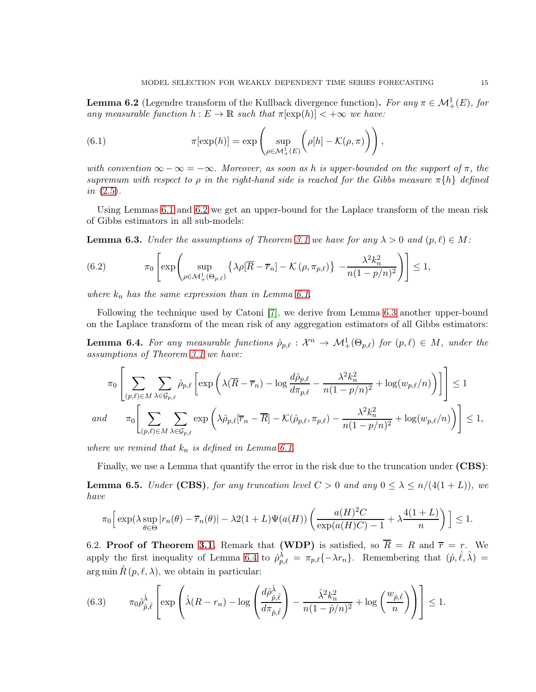<span id="page-14-4"></span>**Lemma 6.2** (Legendre transform of the Kullback divergence function). For any  $\pi \in \mathcal{M}^1_+(E)$ , for *any measurable function*  $h: E \to \mathbb{R}$  *such that*  $\pi[\exp(h)] < +\infty$  *we have:* 

<span id="page-14-6"></span>(6.1) 
$$
\pi[\exp(h)] = \exp\left(\sup_{\rho \in \mathcal{M}_+^1(E)} \left(\rho[h] - \mathcal{K}(\rho, \pi)\right)\right),
$$

*with convention*  $\infty - \infty = -\infty$ *. Moreover, as soon as h is upper-bounded on the support of*  $\pi$ *, the supremum with respect to*  $\rho$  *in the right-hand side is reached for the Gibbs measure*  $\pi\{h\}$  *defined in* [\(2.5\)](#page-4-4)*.*

Using Lemmas [6.1](#page-13-3) and [6.2](#page-14-4) we get an upper-bound for the Laplace transform of the mean risk of Gibbs estimators in all sub-models:

<span id="page-14-1"></span>**Lemma 6.3.** *Under the assumptions of Theorem [3.1](#page-5-2)* we have for any  $\lambda > 0$  and  $(p, \ell) \in M$ :

(6.2) 
$$
\pi_0 \left[ \exp \left( \sup_{\rho \in \mathcal{M}_+^1(\Theta_{p,\ell})} \left\{ \lambda \rho[\overline{R} - \overline{r}_n] - \mathcal{K}(\rho, \pi_{p,\ell}) \right\} - \frac{\lambda^2 k_n^2}{n(1 - p/n)^2} \right) \right] \le 1,
$$

*where*  $k_n$  *has the same expression than in Lemma [6.1.](#page-13-3)* 

Following the technique used by Catoni [\[7\]](#page-24-3), we derive from Lemma [6.3](#page-14-1) another upper-bound on the Laplace transform of the mean risk of any aggregation estimators of all Gibbs estimators:

<span id="page-14-2"></span>**Lemma 6.4.** For any measurable functions  $\rho_{p,\ell}: \mathcal{X}^n \to \mathcal{M}^1_+(\Theta_{p,\ell})$  for  $(p,\ell) \in M$ , under the *assumptions of Theorem [3.1](#page-5-2) we have:*

$$
\pi_0 \left[ \sum_{(p,\ell) \in M} \sum_{\lambda \in \mathcal{G}_{p,\ell}} \hat{\rho}_{p,\ell} \left[ \exp \left( \lambda (\overline{R} - \overline{r}_n) - \log \frac{d \hat{\rho}_{p,\ell}}{d \pi_{p,\ell}} - \frac{\lambda^2 k_n^2}{n(1 - p/n)^2} + \log(w_{p,\ell}/n) \right) \right] \right] \le 1
$$
  
and 
$$
\pi_0 \left[ \sum_{(p,\ell) \in M} \sum_{\lambda \in \mathcal{G}_{p,\ell}} \exp \left( \lambda \hat{\rho}_{p,\ell} [\overline{r}_n - \overline{R}] - \mathcal{K}(\hat{\rho}_{p,\ell}, \pi_{p,\ell}) - \frac{\lambda^2 k_n^2}{n(1 - p/n)^2} + \log(w_{p,\ell}/n) \right) \right] \le 1,
$$

*where we remind that*  $k_n$  *is defined in Lemma [6.1.](#page-13-3)* 

Finally, we use a Lemma that quantify the error in the risk due to the truncation under (CBS):

<span id="page-14-3"></span>**Lemma 6.5.** *Under* (CBS)*, for any truncation level*  $C > 0$  *and any*  $0 \leq \lambda \leq n/(4(1+L))$ *, we have*

$$
\pi_0 \Big[ \exp(\lambda \sup_{\theta \in \Theta} |r_n(\theta) - \overline{r}_n(\theta)| - \lambda 2(1+L) \Psi(a(H)) \left( \frac{a(H)^2 C}{\exp(a(H) C) - 1} + \lambda \frac{4(1+L)}{n} \right) \Big] \le 1.
$$

<span id="page-14-0"></span>6.2. Proof of Theorem [3.1.](#page-5-2) Remark that (WDP) is satisfied, so  $\overline{R} = R$  and  $\overline{r} = r$ . We apply the first inequality of Lemma [6.4](#page-14-2) to  $\hat{\rho}_{p,\ell}^{\lambda} = \pi_{p,\ell}(-\lambda r_n)$ . Remembering that  $(\hat{p}, \hat{\ell}, \hat{\lambda}) =$ arg min  $\hat{R}(p,\ell,\lambda)$ , we obtain in particular:

<span id="page-14-5"></span>(6.3) 
$$
\pi_0 \hat{\rho}_{\hat{p},\hat{\ell}}^{\hat{\lambda}} \left[ \exp \left( \hat{\lambda} (R - r_n) - \log \left( \frac{d \hat{\rho}_{\hat{p},\hat{\ell}}^{\hat{\lambda}}}{d \pi_{\hat{p},\hat{\ell}}} \right) - \frac{\hat{\lambda}^2 k_n^2}{n(1 - \hat{p}/n)^2} + \log \left( \frac{w_{\hat{p},\hat{\ell}}}{n} \right) \right) \right] \le 1.
$$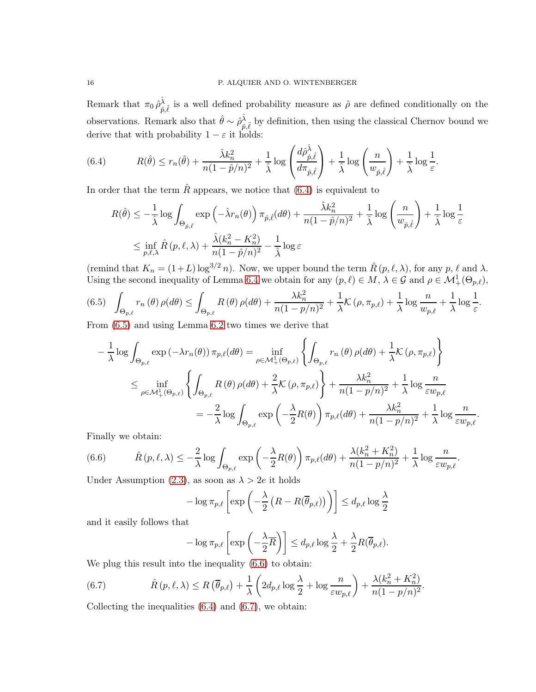Remark that  $\pi_0 \hat{\rho}^{\hat{\lambda}}_{\hat{n}}$  $\hat{\rho}_{\hat{p},\hat{\ell}}$  is a well defined probability measure as  $\hat{\rho}$  are defined conditionally on the observations. Remark also that  $\hat{\theta} \sim \hat{\rho}_{\hat{p}}^{\hat{\lambda}}$  $\hat{\rho}, \hat{\ell}$  by definition, then using the classical Chernov bound we derive that with probability  $1 - \varepsilon$  it holds:

<span id="page-15-0"></span>(6.4) 
$$
R(\hat{\theta}) \le r_n(\hat{\theta}) + \frac{\hat{\lambda}k_n^2}{n(1-\hat{p}/n)^2} + \frac{1}{\hat{\lambda}}\log\left(\frac{d\hat{\rho}_{\hat{p},\hat{\ell}}^{\hat{\lambda}}}{d\pi_{\hat{p},\hat{\ell}}}\right) + \frac{1}{\hat{\lambda}}\log\left(\frac{n}{w_{\hat{p},\hat{\ell}}}\right) + \frac{1}{\hat{\lambda}}\log\frac{1}{\varepsilon}.
$$

In order that the term  $\hat{R}$  appears, we notice that [\(6.4\)](#page-15-0) is equivalent to

$$
R(\hat{\theta}) \le -\frac{1}{\hat{\lambda}} \log \int_{\Theta_{\hat{p}, \hat{\ell}}} \exp \left( -\hat{\lambda} r_n(\theta) \right) \pi_{\hat{p}, \hat{\ell}}(d\theta) + \frac{\hat{\lambda} k_n^2}{n(1 - \hat{p}/n)^2} + \frac{1}{\hat{\lambda}} \log \left( \frac{n}{w_{\hat{p}, \hat{\ell}}} \right) + \frac{1}{\hat{\lambda}} \log \frac{1}{\varepsilon}
$$
  

$$
\le \inf_{p, \ell, \lambda} \hat{R}(p, \ell, \lambda) + \frac{\hat{\lambda}(k_n^2 - K_n^2)}{n(1 - \hat{p}/n)^2} - \frac{1}{\hat{\lambda}} \log \varepsilon
$$

(remind that  $K_n = (1+L) \log^{3/2} n$ ). Now, we upper bound the term  $\hat{R}(p,\ell,\lambda)$ , for any  $p, \ell$  and  $\lambda$ . Using the second inequality of Lemma [6.4](#page-14-2) we obtain for any  $(p, \ell) \in M$ ,  $\lambda \in \mathcal{G}$  and  $\rho \in \mathcal{M}^1_+(\Theta_{p,\ell})$ ,

<span id="page-15-1"></span>
$$
(6.5) \quad \int_{\Theta_{p,\ell}} r_n(\theta) \,\rho(d\theta) \le \int_{\Theta_{p,\ell}} R(\theta) \,\rho(d\theta) + \frac{\lambda k_n^2}{n(1 - p/n)^2} + \frac{1}{\lambda} \mathcal{K}(\rho, \pi_{p,\ell}) + \frac{1}{\lambda} \log \frac{n}{w_{p,\ell}} + \frac{1}{\lambda} \log \frac{1}{\varepsilon}.
$$

From [\(6.5\)](#page-15-1) and using Lemma [6.2](#page-14-4) two times we derive that

$$
-\frac{1}{\lambda}\log\int_{\Theta_{p,\ell}}\exp\left(-\lambda r_{n}(\theta)\right)\pi_{p,\ell}(d\theta) = \inf_{\rho\in\mathcal{M}_{+}^{1}(\Theta_{p,\ell})}\left\{\int_{\Theta_{p,\ell}}r_{n}(\theta)\,\rho(d\theta)+\frac{1}{\lambda}\mathcal{K}\left(\rho,\pi_{p,\ell}\right)\right\}
$$

$$
\leq \inf_{\rho\in\mathcal{M}_{+}^{1}(\Theta_{p,\ell})}\left\{\int_{\Theta_{p,\ell}}R\left(\theta\right)\rho(d\theta)+\frac{2}{\lambda}\mathcal{K}\left(\rho,\pi_{p,\ell}\right)\right\}+\frac{\lambda k_{n}^{2}}{n(1-p/n)^{2}}+\frac{1}{\lambda}\log\frac{n}{\varepsilon w_{p,\ell}}
$$

$$
=-\frac{2}{\lambda}\log\int_{\Theta_{p,\ell}}\exp\left(-\frac{\lambda}{2}R(\theta)\right)\pi_{p,\ell}(d\theta)+\frac{\lambda k_{n}^{2}}{n(1-p/n)^{2}}+\frac{1}{\lambda}\log\frac{n}{\varepsilon w_{p,\ell}}.
$$

Finally we obtain:

<span id="page-15-2"></span>(6.6) 
$$
\hat{R}(p,\ell,\lambda) \leq -\frac{2}{\lambda} \log \int_{\Theta_{p,\ell}} \exp\left(-\frac{\lambda}{2}R(\theta)\right) \pi_{p,\ell}(d\theta) + \frac{\lambda(k_n^2 + K_n^2)}{n(1-p/n)^2} + \frac{1}{\lambda} \log \frac{n}{\varepsilon w_{p,\ell}}.
$$

Under Assumption [\(2.3\)](#page-3-4), as soon as  $\lambda > 2e$  it holds

$$
-\log \pi_{p,\ell}\left[\exp\left(-\frac{\lambda}{2}\left(R - R(\overline{\theta}_{p,\ell})\right)\right)\right] \le d_{p,\ell}\log \frac{\lambda}{2}
$$

and it easily follows that

<span id="page-15-3"></span>
$$
-\log \pi_{p,\ell}\left[\exp\left(-\frac{\lambda}{2}\overline{R}\right)\right] \leq d_{p,\ell}\log\frac{\lambda}{2} + \frac{\lambda}{2}R(\overline{\theta}_{p,\ell}).
$$

We plug this result into the inequality [\(6.6\)](#page-15-2) to obtain:

(6.7) 
$$
\hat{R}(p,\ell,\lambda) \leq R(\overline{\theta}_{p,\ell}) + \frac{1}{\lambda} \left(2d_{p,\ell}\log\frac{\lambda}{2} + \log\frac{n}{\varepsilon w_{p,\ell}}\right) + \frac{\lambda(k_n^2 + K_n^2)}{n(1-p/n)^2}.
$$

Collecting the inequalities  $(6.4)$  and  $(6.7)$ , we obtain: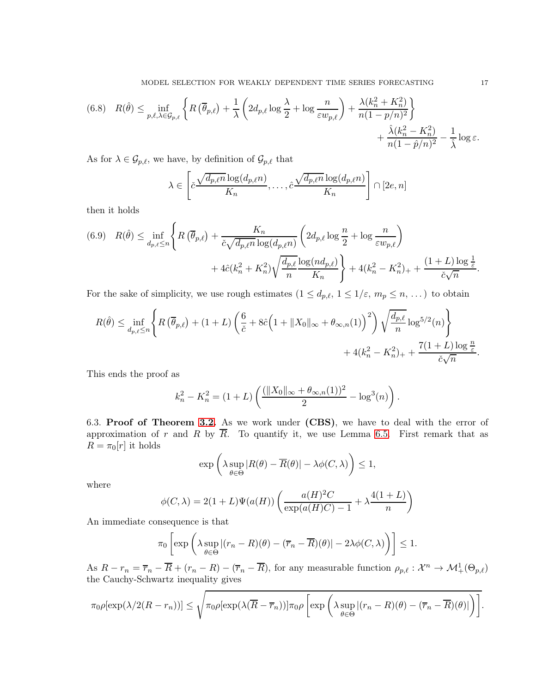(6.8) 
$$
R(\hat{\theta}) \le \inf_{p,\ell,\lambda \in \mathcal{G}_{p,\ell}} \left\{ R\left(\overline{\theta}_{p,\ell}\right) + \frac{1}{\lambda} \left( 2d_{p,\ell} \log \frac{\lambda}{2} + \log \frac{n}{\varepsilon w_{p,\ell}} \right) + \frac{\lambda(k_n^2 + K_n^2)}{n(1 - p/n)^2} \right\} + \frac{\hat{\lambda}(k_n^2 - K_n^2)}{n(1 - \hat{p}/n)^2} - \frac{1}{\hat{\lambda}} \log \varepsilon.
$$

As for  $\lambda \in \mathcal{G}_{p,\ell}$ , we have, by definition of  $\mathcal{G}_{p,\ell}$  that

$$
\lambda \in \left[ \tilde{c} \frac{\sqrt{d_{p,\ell} n} \log(d_{p,\ell} n)}{K_n}, \dots, \tilde{c} \frac{\sqrt{d_{p,\ell} n} \log(d_{p,\ell} n)}{K_n} \right] \cap [2e, n]
$$

then it holds

$$
(6.9) \quad R(\hat{\theta}) \le \inf_{d_p, \ell \le n} \left\{ R\left(\overline{\theta}_{p,\ell}\right) + \frac{K_n}{\check{c}\sqrt{d_{p,\ell}n} \log(d_{p,\ell}n)} \left( 2d_{p,\ell} \log \frac{n}{2} + \log \frac{n}{\varepsilon w_{p,\ell}} \right) + 4\hat{c}(k_n^2 + K_n^2) \sqrt{\frac{d_{p,\ell}}{n} \log(nd_{p,\ell})} \right\} + 4(k_n^2 - K_n^2)_+ + \frac{(1+L)\log \frac{1}{\check{c}}}{\check{c}\sqrt{n}}.
$$

For the sake of simplicity, we use rough estimates  $(1 \le d_{p,\ell}, 1 \le 1/\varepsilon, m_p \le n, ...)$  to obtain

$$
R(\hat{\theta}) \le \inf_{d_{p,\ell} \le n} \left\{ R\left(\overline{\theta}_{p,\ell}\right) + (1+L) \left( \frac{6}{\tilde{c}} + 8\hat{c} \Big(1 + \|X_0\|_{\infty} + \theta_{\infty,n}(1)\Big)^2 \right) \sqrt{\frac{d_{p,\ell}}{n}} \log^{5/2}(n) \right\} + 4(k_n^2 - K_n^2)_+ + \frac{7(1+L)\log\frac{n}{\tilde{c}}}{\check{c}\sqrt{n}}.
$$

This ends the proof as

$$
k_n^2 - K_n^2 = (1 + L) \left( \frac{(\|X_0\|_{\infty} + \theta_{\infty,n}(1))^2}{2} - \log^3(n) \right).
$$

<span id="page-16-0"></span>6.3. Proof of Theorem [3.2.](#page-6-2) As we work under (CBS), we have to deal with the error of approximation of r and R by  $\overline{R}$ . To quantify it, we use Lemma [6.5.](#page-14-3) First remark that as  $R = \pi_0[r]$  it holds

$$
\exp\left(\lambda \sup_{\theta \in \Theta} |R(\theta) - \overline{R}(\theta)| - \lambda \phi(C, \lambda)\right) \le 1,
$$

where

$$
\phi(C,\lambda) = 2(1+L)\Psi(a(H))\left(\frac{a(H)^2C}{\exp(a(H)C)-1} + \lambda \frac{4(1+L)}{n}\right)
$$

An immediate consequence is that

$$
\pi_0 \left[ \exp \left( \lambda \sup_{\theta \in \Theta} |(r_n - R)(\theta) - (\overline{r}_n - \overline{R})(\theta)| - 2\lambda \phi(C, \lambda) \right) \right] \le 1.
$$

As  $R - r_n = \overline{r}_n - \overline{R} + (r_n - R) - (\overline{r}_n - \overline{R})$ , for any measurable function  $\rho_{p,\ell} : \mathcal{X}^n \to \mathcal{M}_+^1(\Theta_{p,\ell})$ the Cauchy-Schwartz inequality gives

$$
\pi_0 \rho[\exp(\lambda/2(R-r_n))] \le \sqrt{\pi_0 \rho[\exp(\lambda(\overline{R}-\overline{r}_n))] \pi_0 \rho \left[\exp\left(\lambda \sup_{\theta \in \Theta} |(r_n - R)(\theta) - (\overline{r}_n - \overline{R})(\theta)|\right)\right]}.
$$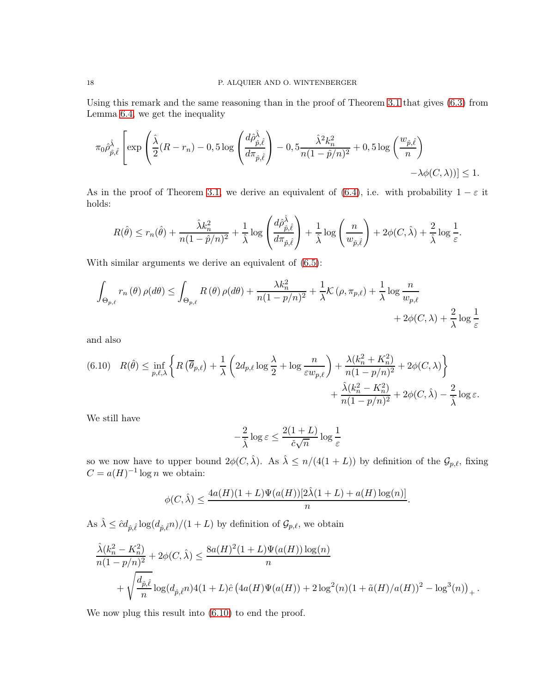Using this remark and the same reasoning than in the proof of Theorem [3.1](#page-5-2) that gives [\(6.3\)](#page-14-5) from Lemma [6.4,](#page-14-2) we get the inequality

$$
\pi_0 \hat{\rho}^{\hat{\lambda}}_{\hat{p},\hat{\ell}} \left[ \exp\left( \frac{\hat{\lambda}}{2} (R - r_n) - 0, 5 \log\left( \frac{d \hat{\rho}^{\hat{\lambda}}_{\hat{p},\hat{\ell}}}{d \pi_{\hat{p},\hat{\ell}}} \right) - 0, 5 \frac{\hat{\lambda}^2 k_n^2}{n(1 - \hat{p}/n)^2} + 0, 5 \log\left( \frac{w_{\hat{p},\hat{\ell}}}{n} \right) - \lambda \phi(C, \lambda)) \right] \le 1.
$$

As in the proof of Theorem [3.1,](#page-5-2) we derive an equivalent of [\(6.4\)](#page-15-0), i.e. with probability  $1 - \varepsilon$  it holds:

$$
R(\hat{\theta}) \le r_n(\hat{\theta}) + \frac{\hat{\lambda}k_n^2}{n(1-\hat{p}/n)^2} + \frac{1}{\hat{\lambda}}\log\left(\frac{d\hat{\rho}_{\hat{p},\hat{\ell}}^{\hat{\lambda}}}{d\pi_{\hat{p},\hat{\ell}}}\right) + \frac{1}{\hat{\lambda}}\log\left(\frac{n}{w_{\hat{p},\hat{\ell}}}\right) + 2\phi(C,\hat{\lambda}) + \frac{2}{\hat{\lambda}}\log\frac{1}{\varepsilon}
$$

.

With similar arguments we derive an equivalent of  $(6.5)$ :

$$
\int_{\Theta_{p,\ell}} r_n(\theta) \rho(d\theta) \le \int_{\Theta_{p,\ell}} R(\theta) \rho(d\theta) + \frac{\lambda k_n^2}{n(1-p/n)^2} + \frac{1}{\lambda} \mathcal{K}(\rho, \pi_{p,\ell}) + \frac{1}{\lambda} \log \frac{n}{w_{p,\ell}} + 2\phi(C,\lambda) + \frac{2}{\lambda} \log \frac{1}{\varepsilon}
$$

and also

<span id="page-17-0"></span>
$$
(6.10) \quad R(\hat{\theta}) \le \inf_{p,\ell,\lambda} \left\{ R\left(\overline{\theta}_{p,\ell}\right) + \frac{1}{\lambda} \left( 2d_{p,\ell} \log \frac{\lambda}{2} + \log \frac{n}{\varepsilon w_{p,\ell}} \right) + \frac{\lambda(k_n^2 + K_n^2)}{n(1 - p/n)^2} + 2\phi(C,\lambda) \right\} + \frac{\hat{\lambda}(k_n^2 - K_n^2)}{n(1 - p/n)^2} + 2\phi(C,\hat{\lambda}) - \frac{2}{\hat{\lambda}} \log \varepsilon.
$$

We still have

$$
-\frac{2}{\hat{\lambda}}\log \varepsilon \leq \frac{2(1+L)}{\check{c}\sqrt{n}}\log \frac{1}{\varepsilon}
$$

so we now have to upper bound  $2\phi(C, \hat{\lambda})$ . As  $\hat{\lambda} \leq n/(4(1+L))$  by definition of the  $\mathcal{G}_{p,\ell}$ , fixing  $C = a(H)^{-1} \log n$  we obtain:

$$
\phi(C,\hat{\lambda}) \le \frac{4a(H)(1+L)\Psi(a(H))[2\hat{\lambda}(1+L) + a(H)\log(n)]}{n}.
$$

As  $\hat{\lambda} \leq \hat{c} d_{\hat{p}, \hat{\ell}} \log(d_{\hat{p}, \hat{\ell}} n)/(1+L)$  by definition of  $\mathcal{G}_{p,\ell}$ , we obtain

$$
\frac{\hat{\lambda}(k_n^2 - K_n^2)}{n(1 - p/n)^2} + 2\phi(C, \hat{\lambda}) \le \frac{8a(H)^2(1 + L)\Psi(a(H))\log(n)}{n} + \sqrt{\frac{d_{\hat{p}, \hat{\ell}}}{n}\log(d_{\hat{p}, \hat{\ell}}n)4(1 + L)\hat{c}\left(4a(H)\Psi(a(H)) + 2\log^2(n)(1 + \tilde{a}(H)/a(H))^2 - \log^3(n)\right)_+}.
$$

We now plug this result into [\(6.10\)](#page-17-0) to end the proof.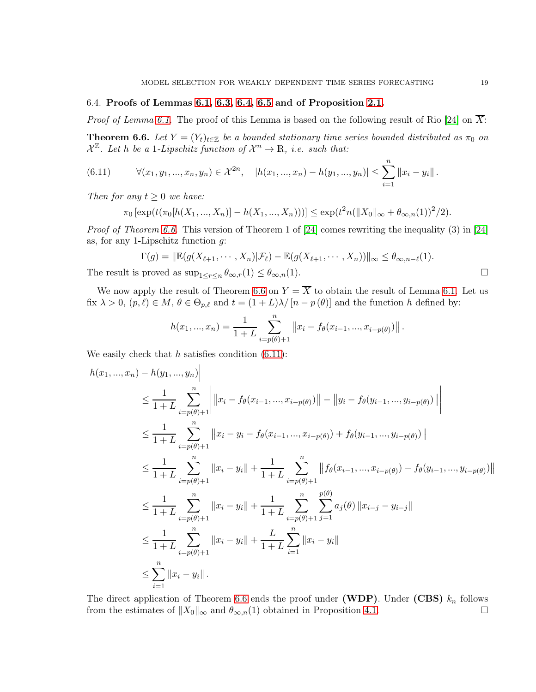# <span id="page-18-0"></span>6.4. Proofs of Lemmas [6.1,](#page-13-3) [6.3,](#page-14-1) [6.4,](#page-14-2) [6.5](#page-14-3) and of Proposition [2.1.](#page-3-3)

*Proof of Lemma [6.1.](#page-13-3)* The proof of this Lemma is based on the following result of Rio [\[24\]](#page-25-10) on  $\overline{X}$ :

<span id="page-18-1"></span>**Theorem 6.6.** Let  $Y = (Y_t)_{t \in \mathbb{Z}}$  be a bounded stationary time series bounded distributed as  $\pi_0$  on  $\mathcal{X}^{\mathbb{Z}}$ . Let h be a 1*-Lipschitz function of*  $\mathcal{X}^n \to \mathbb{R}$ , *i.e.* such that:

(6.11) 
$$
\forall (x_1, y_1, ..., x_n, y_n) \in \mathcal{X}^{2n}, \quad |h(x_1, ..., x_n) - h(y_1, ..., y_n)| \leq \sum_{i=1}^n ||x_i - y_i||.
$$

*Then for any*  $t \geq 0$  *we have:* 

<span id="page-18-2"></span>
$$
\pi_0 \left[ \exp(t(\pi_0[h(X_1, ..., X_n)] - h(X_1, ..., X_n))) \right] \leq \exp(t^2 n(\|X_0\|_{\infty} + \theta_{\infty, n}(1))^2/2).
$$

*Proof of Theorem [6.6.](#page-18-1)* This version of Theorem 1 of [\[24\]](#page-25-10) comes rewriting the inequality (3) in [\[24\]](#page-25-10) as, for any 1-Lipschitz function  $g$ :

$$
\Gamma(g) = \|\mathbb{E}(g(X_{\ell+1}, \cdots, X_n)|\mathcal{F}_{\ell}) - \mathbb{E}(g(X_{\ell+1}, \cdots, X_n))\|_{\infty} \le \theta_{\infty, n-\ell}(1).
$$

The result is proved as  $\sup_{1 \leq r \leq n} \theta_{\infty,r}(1) \leq \theta_{\infty,n}(1)$ .

We now apply the result of Theorem [6.6](#page-18-1) on  $Y = \overline{X}$  to obtain the result of Lemma [6.1.](#page-13-3) Let us fix  $\lambda > 0$ ,  $(p, \ell) \in M$ ,  $\theta \in \Theta_{p,\ell}$  and  $t = (1 + L)\lambda / [n - p(\theta)]$  and the function h defined by:

$$
h(x_1, ..., x_n) = \frac{1}{1+L} \sum_{i=p(\theta)+1}^n ||x_i - f_{\theta}(x_{i-1}, ..., x_{i-p(\theta)})||.
$$

We easily check that  $h$  satisfies condition  $(6.11)$ :

 $\mathbf{I}$ 

$$
\left| h(x_1, ..., x_n) - h(y_1, ..., y_n) \right|
$$
  
\n
$$
\leq \frac{1}{1+L} \sum_{i=p(\theta)+1}^n \left| \|x_i - f_{\theta}(x_{i-1}, ..., x_{i-p(\theta)})\| - \|y_i - f_{\theta}(y_{i-1}, ..., y_{i-p(\theta)})\| \right|
$$
  
\n
$$
\leq \frac{1}{1+L} \sum_{i=p(\theta)+1}^n \|x_i - y_i - f_{\theta}(x_{i-1}, ..., x_{i-p(\theta)}) + f_{\theta}(y_{i-1}, ..., y_{i-p(\theta)})\|
$$
  
\n
$$
\leq \frac{1}{1+L} \sum_{i=p(\theta)+1}^n \|x_i - y_i\| + \frac{1}{1+L} \sum_{i=p(\theta)+1}^n \|f_{\theta}(x_{i-1}, ..., x_{i-p(\theta)}) - f_{\theta}(y_{i-1}, ..., y_{i-p(\theta)})\|
$$
  
\n
$$
\leq \frac{1}{1+L} \sum_{i=p(\theta)+1}^n \|x_i - y_i\| + \frac{1}{1+L} \sum_{i=p(\theta)+1}^n \sum_{j=1}^{p(\theta)} a_j(\theta) \|x_{i-j} - y_{i-j}\|
$$
  
\n
$$
\leq \frac{1}{1+L} \sum_{i=p(\theta)+1}^n \|x_i - y_i\| + \frac{L}{1+L} \sum_{i=1}^n \|x_i - y_i\|
$$
  
\n
$$
\leq \sum_{i=1}^n \|x_i - y_i\|.
$$

The direct application of Theorem [6.6](#page-18-1) ends the proof under (WDP). Under (CBS)  $k_n$  follows from the estimates of  $||X_0||_{\infty}$  and  $\theta_{\infty,n}(1)$  obtained in Proposition [4.1.](#page-7-6)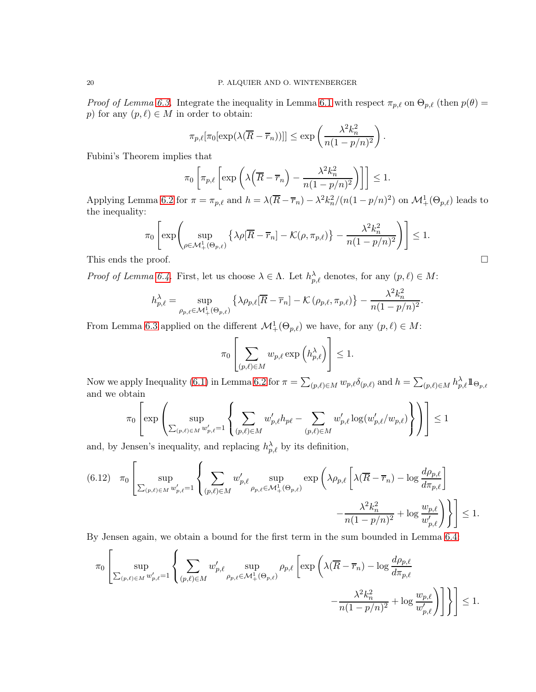*Proof of Lemma [6.3.](#page-14-1)* Integrate the inequality in Lemma [6.1](#page-13-3) with respect  $\pi_{p,\ell}$  on  $\Theta_{p,\ell}$  (then  $p(\theta)$ ) p) for any  $(p, \ell) \in M$  in order to obtain:

$$
\pi_{p,\ell}[\pi_0[\exp(\lambda(\overline{R}-\overline{r}_n))]] \le \exp\left(\frac{\lambda^2 k_n^2}{n(1-p/n)^2}\right).
$$

Fubini's Theorem implies that

$$
\pi_0 \left[ \pi_{p,\ell} \left[ \exp \left( \lambda \left( \overline{R} - \overline{r}_n \right) - \frac{\lambda^2 k_n^2}{n(1 - p/n)^2} \right) \right] \right] \le 1.
$$

Applying Lemma [6.2](#page-14-4) for  $\pi = \pi_{p,\ell}$  and  $h = \lambda(\overline{R} - \overline{r}_n) - \lambda^2 k_n^2/(n(1-p/n)^2)$  on  $\mathcal{M}_+^1(\Theta_{p,\ell})$  leads to the inequality:

$$
\pi_0 \left[ \exp \left( \sup_{\rho \in \mathcal{M}_+^1(\Theta_{p,\ell})} \left\{ \lambda \rho[\overline{R} - \overline{r}_n] - \mathcal{K}(\rho, \pi_{p,\ell}) \right\} - \frac{\lambda^2 k_n^2}{n(1 - p/n)^2} \right) \right] \le 1.
$$
  
This ends the proof.

*Proof of Lemma [6.4.](#page-14-2)* First, let us choose  $\lambda \in \Lambda$ . Let  $h_{p,\ell}^{\lambda}$  denotes, for any  $(p,\ell) \in M$ :

$$
h_{p,\ell}^{\lambda} = \sup_{\rho_{p,\ell} \in \mathcal{M}_+^1(\Theta_{p,\ell})} \left\{ \lambda \rho_{p,\ell} [\overline{R} - \overline{r}_n] - \mathcal{K} \left( \rho_{p,\ell}, \pi_{p,\ell} \right) \right\} - \frac{\lambda^2 k_n^2}{n(1 - p/n)^2}.
$$

From Lemma [6.3](#page-14-1) applied on the different  $\mathcal{M}^1_+(\Theta_{p,\ell})$  we have, for any  $(p,\ell) \in M$ :

$$
\pi_0 \left[ \sum_{(p,\ell) \in M} w_{p,\ell} \exp \left( h_{p,\ell}^{\lambda} \right) \right] \le 1.
$$

Now we apply Inequality [\(6.1\)](#page-14-6) in Lemma [6.2](#page-14-4) for  $\pi = \sum_{(p,\ell) \in M} w_{p,\ell} \delta_{(p,\ell)}$  and  $h = \sum_{(p,\ell) \in M} h_{p,\ell}^{\lambda} \mathbb{1}_{\Theta_{p,\ell}}$ and we obtain

$$
\pi_0\left[\exp\left(\sup_{\sum_{(p,\ell)\in M}w_{p,\ell}'=1}\left\{\sum_{(p,\ell)\in M}w_{p,\ell}'h_{p\ell}-\sum_{(p,\ell)\in M}w_{p,\ell}'\log(w_{p,\ell}'/w_{p,\ell})\right\}\right)\right]\leq 1
$$

and, by Jensen's inequality, and replacing  $h_{p,\ell}^{\lambda}$  by its definition,

<span id="page-19-0"></span>
$$
(6.12) \quad \pi_0 \left[ \sup_{\sum_{(p,\ell)\in M} w'_{p,\ell}=1} \left\{ \sum_{(p,\ell)\in M} w'_{p,\ell} \sup_{\rho_{p,\ell}\in \mathcal{M}_+^1(\Theta_{p,\ell})} \exp\left( \lambda \rho_{p,\ell} \left[ \lambda(\overline{R}-\overline{r}_n) - \log \frac{d\rho_{p,\ell}}{d\pi_{p,\ell}} \right] \right. \right. \\ \left. - \frac{\lambda^2 k_n^2}{n(1-p/n)^2} + \log \frac{w_{p,\ell}}{w'_{p,\ell}} \right) \right\} \right] \le 1.
$$

By Jensen again, we obtain a bound for the first term in the sum bounded in Lemma [6.4:](#page-14-2)

$$
\pi_0\left[\sup_{\sum_{(p,\ell)\in M}w_{p,\ell}'=1}\left\{\sum_{(p,\ell)\in M}w_{p,\ell}'\sup_{\rho_{p,\ell}\in \mathcal{M}_+^1(\Theta_{p,\ell})}\rho_{p,\ell}\left[\exp\left(\lambda(\overline{R}-\overline{r}_n)-\log\frac{d\rho_{p,\ell}}{d\pi_{p,\ell}}\right.\right.\right.\\ \left.\left.-\frac{\lambda^2k_n^2}{n(1-p/n)^2}+\log\frac{w_{p,\ell}}{w_{p,\ell}'}\right)\right]\right\}\right]\leq 1.
$$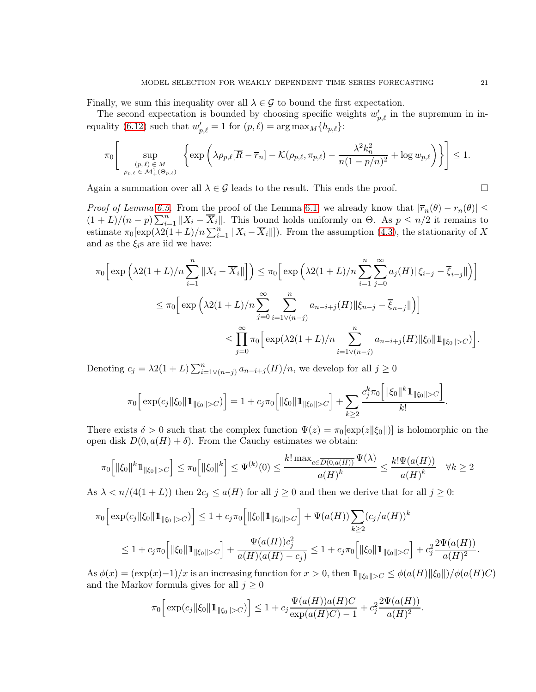Finally, we sum this inequality over all  $\lambda \in \mathcal{G}$  to bound the first expectation.

The second expectation is bounded by choosing specific weights  $w'_{p,\ell}$  in the supremum in in-equality [\(6.12\)](#page-19-0) such that  $w'_{p,\ell} = 1$  for  $(p,\ell) = \arg \max_M {\{h_{p,\ell}\}}$ :

$$
\pi_0 \bigg[ \sup_{\substack{(p,\ell) \in M \\ \rho_{p,\ell} \in \mathcal{M}_+^1(\Theta_{p,\ell})}} \left\{ \exp \left( \lambda \rho_{p,\ell} [\overline{R} - \overline{r}_n] - \mathcal{K}(\rho_{p,\ell}, \pi_{p,\ell}) - \frac{\lambda^2 k_n^2}{n(1 - p/n)^2} + \log w_{p,\ell} \right) \right\} \bigg] \le 1.
$$

Again a summation over all  $\lambda \in \mathcal{G}$  leads to the result. This ends the proof.

*Proof of Lemma [6.5.](#page-14-3)* From the proof of the Lemma [6.1,](#page-13-3) we already know that  $|\overline{r}_n(\theta) - r_n(\theta)| \le$  $(1+L)/(n-p)\sum_{i=1}^{n}||X_i-\overline{X}_i||.$  This bound holds uniformly on  $\Theta$ . As  $p\leq n/2$  it remains to estimate  $\pi_0[\exp(\lambda 2(1+L)/n\sum_{i=1}^n ||X_i - \overline{X}_i||])$ . From the assumption [\(4.3\)](#page-7-2), the stationarity of X and as the  $\xi_i$ s are iid we have:

$$
\pi_0 \Big[ \exp \Big( \lambda 2(1+L)/n \sum_{i=1}^n \|X_i - \overline{X}_i\| \Big] \Big) \leq \pi_0 \Big[ \exp \Big( \lambda 2(1+L)/n \sum_{i=1}^n \sum_{j=0}^\infty a_j(H) \|\xi_{i-j} - \overline{\xi}_{i-j}\| \Big) \Big] \leq \pi_0 \Big[ \exp \Big( \lambda 2(1+L)/n \sum_{j=0}^\infty \sum_{i=1 \vee (n-j)}^n a_{n-i+j}(H) \|\xi_{n-j} - \overline{\xi}_{n-j}\| \Big) \Big] \leq \prod_{j=0}^\infty \pi_0 \Big[ \exp(\lambda 2(1+L)/n \sum_{i=1 \vee (n-j)}^n a_{n-i+j}(H) \|\xi_0\| 1\|_{\|\xi_0\|>C} ) \Big].
$$

Denoting  $c_j = \lambda 2(1+L) \sum_{i=1 \vee (n-j)}^n a_{n-i+j}(H)/n$ , we develop for all  $j \ge 0$ 

$$
\pi_0 \Big[ \exp(c_j \| \xi_0 \| 1\|_{\|\xi_0\| > C}) \Big] = 1 + c_j \pi_0 \Big[ \| \xi_0 \| 1\|_{\|\xi_0\| > C} \Big] + \sum_{k \geq 2} \frac{c_j^k \pi_0 \Big[ \| \xi_0 \|^{k} 1\|_{\|\xi_0\| > C} \Big]}{k!}.
$$

There exists  $\delta > 0$  such that the complex function  $\Psi(z) = \pi_0[\exp(z||\xi_0|])$  is holomorphic on the open disk  $D(0, a(H) + \delta)$ . From the Cauchy estimates we obtain:

$$
\pi_0\Big[\|\xi_0\|^k 1\!\!1_{\|\xi_0\|>C}\Big] \leq \pi_0\Big[\|\xi_0\|^k\Big] \leq \Psi^{(k)}(0) \leq \frac{k! \max_{c \in \overline{D(0,a(H))}} \Psi(\lambda)}{a(H)^k} \leq \frac{k! \Psi(a(H))}{a(H)^k} \quad \forall k \geq 2
$$

As  $\lambda < n/(4(1+L))$  then  $2c_j \le a(H)$  for all  $j \ge 0$  and then we derive that for all  $j \ge 0$ :

$$
\pi_0 \Big[ \exp(c_j \|\xi_0\| 1\!\!1_{\|\xi_0\|>C}) \Big] \le 1 + c_j \pi_0 \Big[ \|\xi_0\| 1\!\!1_{\|\xi_0\|>C} \Big] + \Psi(a(H)) \sum_{k\ge 2} (c_j/a(H))^k
$$
  

$$
\le 1 + c_j \pi_0 \Big[ \|\xi_0\| 1\!\!1_{\|\xi_0\|>C} \Big] + \frac{\Psi(a(H))c_j^2}{a(H)(a(H)-c_j)} \le 1 + c_j \pi_0 \Big[ \|\xi_0\| 1\!\!1_{\|\xi_0\|>C} \Big] + c_j^2 \frac{2\Psi(a(H))}{a(H)^2}.
$$

As  $\phi(x) = (\exp(x)-1)/x$  is an increasing function for  $x > 0$ , then  $1\!\!1_{\|\xi_0\|>} C \leq \phi(a(H)\|\xi_0\|)/\phi(a(H)C)$ and the Markov formula gives for all  $j \geq 0$ 

.

$$
\pi_0 \Big[ \exp(c_j ||\xi_0|| \mathbb{1}_{\|\xi_0\| > C}) \Big] \le 1 + c_j \frac{\Psi(a(H))a(H)C}{\exp(a(H)C) - 1} + c_j^2 \frac{2\Psi(a(H))}{a(H)^2}
$$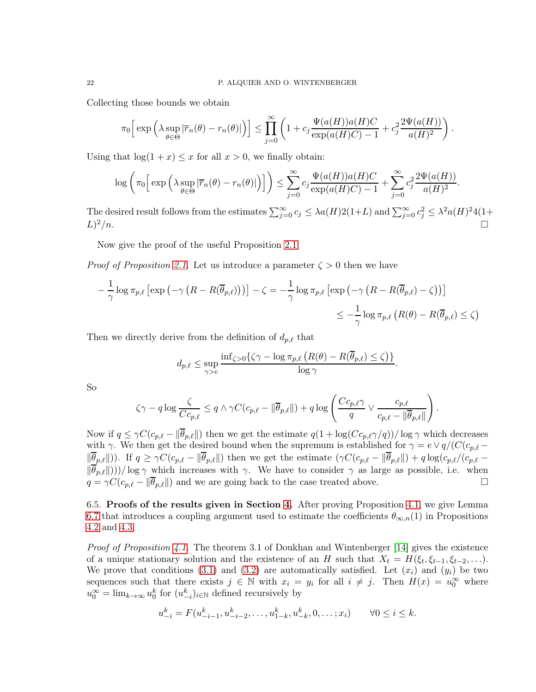Collecting those bounds we obtain

$$
\pi_0 \Big[ \exp \Big( \lambda \sup_{\theta \in \Theta} |\overline{r}_n(\theta) - r_n(\theta)| \Big) \Big] \le \prod_{j=0}^{\infty} \Big( 1 + c_j \frac{\Psi(a(H))a(H)C}{\exp(a(H)C) - 1} + c_j^2 \frac{2\Psi(a(H))}{a(H)^2} \Big)
$$

.

Using that  $log(1 + x) \leq x$  for all  $x > 0$ , we finally obtain:

$$
\log\left(\pi_0\Big[\exp\Big(\lambda \sup_{\theta \in \Theta} |\overline{r}_n(\theta) - r_n(\theta)|\Big)\Big]\right) \le \sum_{j=0}^{\infty} c_j \frac{\Psi(a(H))a(H)C}{\exp(a(H)C) - 1} + \sum_{j=0}^{\infty} c_j^2 \frac{2\Psi(a(H))}{a(H)^2}.
$$

The desired result follows from the estimates  $\sum_{j=0}^{\infty} c_j \leq \lambda a(H) 2(1+L)$  and  $\sum_{j=0}^{\infty} c_j^2 \leq \lambda^2 a(H)^2 4(1+L)$  $L)^2/n$ .  $2/n$ .

Now give the proof of the useful Proposition [2.1.](#page-3-3)

*Proof of Proposition [2.1.](#page-3-3)* Let us introduce a parameter  $\zeta > 0$  then we have

$$
-\frac{1}{\gamma}\log \pi_{p,\ell}\left[\exp\left(-\gamma\left(R - R(\overline{\theta}_{p,\ell})\right)\right)\right] - \zeta = -\frac{1}{\gamma}\log \pi_{p,\ell}\left[\exp\left(-\gamma\left(R - R(\overline{\theta}_{p,\ell}) - \zeta\right)\right)\right]
$$
  

$$
\leq -\frac{1}{\gamma}\log \pi_{p,\ell}\left(R(\theta) - R(\overline{\theta}_{p,\ell}) \leq \zeta\right)
$$

Then we directly derive from the definition of  $d_{p,\ell}$  that

$$
d_{p,\ell} \le \sup_{\gamma>e} \frac{\inf_{\zeta>0} \{ \zeta\gamma - \log \pi_{p,\ell} \left( R(\theta) - R(\overline{\theta}_{p,\ell}) \le \zeta \right) \}}{\log \gamma}.
$$

So

$$
\zeta \gamma - q \log \frac{\zeta}{Cc_{p,\ell}} \leq q \wedge \gamma C(c_{p,\ell} - \|\overline{\theta}_{p,\ell}\|) + q \log \left(\frac{Cc_{p,\ell}\gamma}{q} \vee \frac{c_{p,\ell}}{c_{p,\ell} - \|\overline{\theta}_{p,\ell}\|}\right).
$$

Now if  $q \leq \gamma C(c_{p,\ell} - ||\overline{\theta}_{p,\ell}||)$  then we get the estimate  $q(1 + \log(Cc_{p,\ell}\gamma/q))/\log \gamma$  which decreases with  $\gamma$ . We then get the desired bound when the supremum is established for  $\gamma = e \vee q/(C(c_{p,\ell} \|\overline{\theta}_{p,\ell}\|$ )). If  $q \geq \gamma C(c_{p,\ell} - \|\overline{\theta}_{p,\ell}\|)$  then we get the estimate  $(\gamma C(c_{p,\ell} - \|\overline{\theta}_{p,\ell}\|) + q \log(c_{p,\ell}/(c_{p,\ell} - \ell))$  $\|\overline{\theta}_{p,\ell}\|$ )))/ log  $\gamma$  which increases with  $\gamma$ . We have to consider  $\gamma$  as large as possible, i.e. when  $q = \gamma C(c_p \ell - \|\overline{\theta}_p \ell\|)$  and we are going back to the case treated above.  $q = \gamma C(c_{p,\ell} - ||\overline{\theta}_{p,\ell}||)$  and we are going back to the case treated above.

<span id="page-21-0"></span>6.5. Proofs of the results given in Section [4.](#page-6-1) After proving Proposition [4.1,](#page-7-6) we give Lemma [6.7](#page-22-0) that introduces a coupling argument used to estimate the coefficients  $\theta_{\infty,n}(1)$  in Propositions [4.2](#page-8-2) and [4.3.](#page-8-3)

*Proof of Proposition [4.1.](#page-7-6)* The theorem 3.1 of Doukhan and Wintenberger [\[14\]](#page-24-10) gives the existence of a unique stationary solution and the existence of an H such that  $X_t = H(\xi_t, \xi_{t-1}, \xi_{t-2}, \ldots)$ . We prove that conditions [\(3.1\)](#page-5-4) and [\(3.2\)](#page-5-3) are automatically satisfied. Let  $(x_i)$  and  $(y_i)$  be two sequences such that there exists  $j \in \mathbb{N}$  with  $x_i = y_i$  for all  $i \neq j$ . Then  $H(x) = u_0^{\infty}$  where  $u_0^{\infty} = \lim_{k \to \infty} u_0^k$  for  $(u_{-i}^k)_{i \in \mathbb{N}}$  defined recursively by

$$
u_{-i}^k = F(u_{-i-1}^k, u_{-i-2}^k, \dots, u_{1-k}^k, u_{-k}^k, 0, \dots; x_i) \qquad \forall 0 \le i \le k.
$$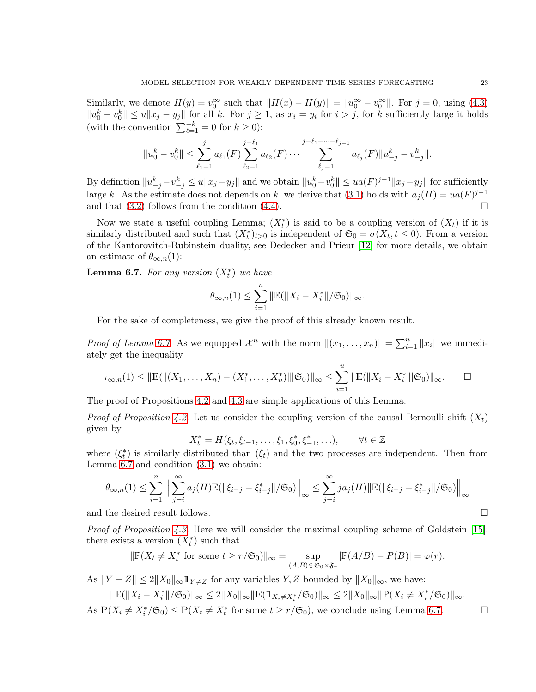Similarly, we denote  $H(y) = v_0^{\infty}$  such that  $||H(x) - H(y)|| = ||u_0^{\infty} - v_0^{\infty}||$ . For  $j = 0$ , using [\(4.3\)](#page-7-2)  $||u_0^k - v_0^k|| \leq u||x_j - y_j||$  for all k. For  $j \geq 1$ , as  $x_i = y_i$  for  $i > j$ , for k sufficiently large it holds (with the convention  $\sum_{\ell=1}^{-k} = 0$  for  $k \ge 0$ ):

$$
||u_0^k - v_0^k|| \leq \sum_{\ell_1=1}^j a_{\ell_1}(F) \sum_{\ell_2=1}^{j-\ell_1} a_{\ell_2}(F) \cdots \sum_{\ell_j=1}^{j-\ell_1-\cdots-\ell_{j-1}} a_{\ell_j}(F) ||u_{-j}^k - v_{-j}^k||.
$$

By definition  $||u_{-j}^k - v_{-j}^k|| \leq u||x_j - y_j||$  and we obtain  $||u_0^k - v_0^k|| \leq ua(F)^{j-1} ||x_j - y_j||$  for sufficiently large k. As the estimate does not depends on k, we derive that [\(3.1\)](#page-5-4) holds with  $a_j(H) = ua(F)^{j-1}$ and that  $(3.2)$  follows from the condition  $(4.4)$ .

Now we state a useful coupling Lemma;  $(X_t^*)$  is said to be a coupling version of  $(X_t)$  if it is similarly distributed and such that  $(X_t^*)_{t>0}$  is independent of  $\mathfrak{S}_0 = \sigma(X_t, t \leq 0)$ . From a version of the Kantorovitch-Rubinstein duality, see Dedecker and Prieur [\[12\]](#page-24-12) for more details, we obtain an estimate of  $\theta_{\infty,n}(1)$ :

<span id="page-22-0"></span>**Lemma 6.7.** For any version  $(X_t^*)$  we have

$$
\theta_{\infty,n}(1) \leq \sum_{i=1}^{n} ||\mathbb{E}(||X_i - X_i^*||/\mathfrak{S}_0)||_{\infty}.
$$

For the sake of completeness, we give the proof of this already known result.

*Proof of Lemma [6.7.](#page-22-0)* As we equipped  $\mathcal{X}^n$  with the norm  $||(x_1, \ldots, x_n)|| = \sum_{i=1}^n ||x_i||$  we immediately get the inequality

$$
\tau_{\infty,n}(1) \leq ||\mathbb{E}(||(X_1,\ldots,X_n)-(X_1^*,\ldots,X_n^*)|||\mathfrak{S}_0)||_{\infty} \leq \sum_{i=1}^u ||\mathbb{E}(||X_i-X_i^*|||\mathfrak{S}_0)||_{\infty}.\qquad \Box
$$

The proof of Propositions [4.2](#page-8-2) and [4.3](#page-8-3) are simple applications of this Lemma:

*Proof of Proposition [4.2.](#page-8-2)* Let us consider the coupling version of the causal Bernoulli shift  $(X_t)$ given by

$$
X_t^* = H(\xi_t, \xi_{t-1}, \dots, \xi_1, \xi_0^*, \xi_{-1}^*, \dots), \qquad \forall t \in \mathbb{Z}
$$

where  $(\xi_t^*)$  is similarly distributed than  $(\xi_t)$  and the two processes are independent. Then from Lemma [6.7](#page-22-0) and condition [\(3.1\)](#page-5-4) we obtain:

$$
\theta_{\infty,n}(1) \le \sum_{i=1}^n \Big\| \sum_{j=i}^{\infty} a_j(H) \mathbb{E}(\|\xi_{i-j} - \xi_{i-j}^*\|/\mathfrak{S}_0) \Big\|_{\infty} \le \sum_{j=i}^{\infty} j a_j(H) \|\mathbb{E}(\|\xi_{i-j} - \xi_{i-j}^*\|/\mathfrak{S}_0) \Big\|_{\infty}
$$
  
and the desired result follows.  $\square$ 

*Proof of Proposition [4.3.](#page-8-3)* Here we will consider the maximal coupling scheme of Goldstein [\[15\]](#page-24-15): there exists a version  $(X_t^*)$  such that

$$
\|\mathbb{P}(X_t \neq X_t^*) \text{ for some } t \geq r/\mathfrak{S}_0\|\infty = \sup_{(A,B)\in \mathfrak{S}_0 \times \mathfrak{F}_r} |\mathbb{P}(A/B) - P(B)| = \varphi(r).
$$

As  $||Y - Z|| \le 2||X_0||_{\infty} \mathbb{1}_{Y \neq Z}$  for any variables Y, Z bounded by  $||X_0||_{\infty}$ , we have:

$$
\|\mathbb{E}(\|X_i - X_i^*\|/\mathfrak{S}_0)\|_{\infty} \le 2\|X_0\|_{\infty} \|\mathbb{E}(\mathbb{1}_{X_i \ne X_i^*}/\mathfrak{S}_0)\|_{\infty} \le 2\|X_0\|_{\infty} \|\mathbb{P}(X_i \ne X_i^*/\mathfrak{S}_0)\|_{\infty}.
$$

As  $\mathbb{P}(X_i \neq X_i^*/\mathfrak{S}_0) \leq \mathbb{P}(X_t \neq X_t^*$  for some  $t \geq r/\mathfrak{S}_0$ , we conclude using Lemma [6.7.](#page-22-0)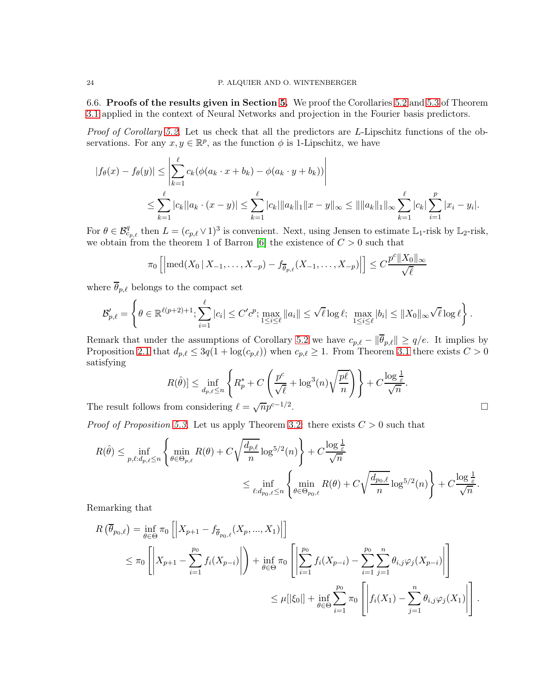<span id="page-23-0"></span>6.6. Proofs of the results given in Section [5.](#page-8-0) We proof the Corollaries [5.2](#page-11-2) and [5.3](#page-12-2) of Theorem [3.1](#page-5-2) applied in the context of Neural Networks and projection in the Fourier basis predictors.

*Proof of Corollary [5.2.](#page-11-2)* Let us check that all the predictors are L-Lipschitz functions of the observations. For any  $x, y \in \mathbb{R}^p$ , as the function  $\phi$  is 1-Lipschitz, we have

$$
|f_{\theta}(x) - f_{\theta}(y)| \leq \left| \sum_{k=1}^{\ell} c_k (\phi(a_k \cdot x + b_k) - \phi(a_k \cdot y + b_k)) \right|
$$
  

$$
\leq \sum_{k=1}^{\ell} |c_k||a_k \cdot (x - y)| \leq \sum_{k=1}^{\ell} |c_k| ||a_k||_1 ||x - y||_{\infty} \leq ||||a_k||_1 ||_{\infty} \sum_{k=1}^{\ell} |c_k| \sum_{i=1}^p |x_i - y_i|.
$$

For  $\theta \in \mathcal{B}_{c_{p,\ell}}^q$  then  $L = (c_{p,\ell} \vee 1)^3$  is convenient. Next, using Jensen to estimate  $\mathbb{L}_1$ -risk by  $\mathbb{L}_2$ -risk, we obtain from the theorem 1 of Barron [\[6\]](#page-24-14) the existence of  $C > 0$  such that

$$
\pi_0\left[\left|\operatorname{med}(X_0\,|\,X_{-1},\ldots,X_{-p})-f_{\overline{\theta}_{p,\ell}}(X_{-1},\ldots,X_{-p})\right|\right] \leq C \frac{p^c\|X_0\|_{\infty}}{\sqrt{\ell}}
$$

where  $\overline{\theta}_{p,\ell}$  belongs to the compact set

$$
\mathcal{B}'_{p,\ell} = \left\{\theta \in \mathbb{R}^{\ell(p+2)+1}; \sum_{i=1}^{\ell} |c_i| \leq C'c^p; \max_{1 \leq i \leq \ell} \|a_i\| \leq \sqrt{\ell} \log \ell; \max_{1 \leq i \leq \ell} |b_i| \leq \|X_0\|_{\infty} \sqrt{\ell} \log \ell \right\}.
$$

Remark that under the assumptions of Corollary [5.2](#page-11-2) we have  $c_{p,\ell} - ||\overline{\theta}_{p,\ell}|| \ge q/e$ . It implies by Proposition [2.1](#page-3-3) that  $d_{p,\ell} \leq 3q(1 + \log(c_{p,\ell}))$  when  $c_{p,\ell} \geq 1$ . From Theorem [3.1](#page-5-2) there exists  $C > 0$ satisfying

$$
R(\hat{\theta})] \le \inf_{d_p, \ell \le n} \left\{ R_p^* + C \left( \frac{p^c}{\sqrt{\ell}} + \log^3(n) \sqrt{\frac{p\ell}{n}} \right) \right\} + C \frac{\log \frac{1}{\varepsilon}}{\sqrt{n}}.
$$
  
from considering  $\ell = \sqrt{n} p^{c-1/2}$ .

The result follows from considering  $\ell = \sqrt{n}p^{c-1/2}$ 

*Proof of Proposition* [5.3.](#page-12-2) Let us apply Theorem [3.2:](#page-6-2) there exists  $C > 0$  such that

$$
R(\hat{\theta}) \le \inf_{p,\ell:d_{p,\ell} \le n} \left\{ \min_{\theta \in \Theta_{p,\ell}} R(\theta) + C\sqrt{\frac{d_{p,\ell}}{n}} \log^{5/2}(n) \right\} + C \frac{\log \frac{1}{\varepsilon}}{\sqrt{n}} \le \inf_{\ell:d_{p_0,\ell} \le n} \left\{ \min_{\theta \in \Theta_{p_0,\ell}} R(\theta) + C\sqrt{\frac{d_{p_0,\ell}}{n}} \log^{5/2}(n) \right\} + C \frac{\log \frac{1}{\varepsilon}}{\sqrt{n}}.
$$

Remarking that

$$
R\left(\overline{\theta}_{p_0,\ell}\right) = \inf_{\theta \in \Theta} \pi_0 \left[ \left| X_{p+1} - f_{\overline{\theta}_{p_0,\ell}}(X_p, ..., X_1) \right| \right]
$$
  
\n
$$
\leq \pi_0 \left[ \left| X_{p+1} - \sum_{i=1}^{p_0} f_i(X_{p-i}) \right| \right) + \inf_{\theta \in \Theta} \pi_0 \left[ \left| \sum_{i=1}^{p_0} f_i(X_{p-i}) - \sum_{i=1}^{p_0} \sum_{j=1}^n \theta_{i,j} \varphi_j(X_{p-i}) \right| \right]
$$
  
\n
$$
\leq \mu[|\xi_0|] + \inf_{\theta \in \Theta} \sum_{i=1}^{p_0} \pi_0 \left[ \left| f_i(X_1) - \sum_{j=1}^n \theta_{i,j} \varphi_j(X_1) \right| \right].
$$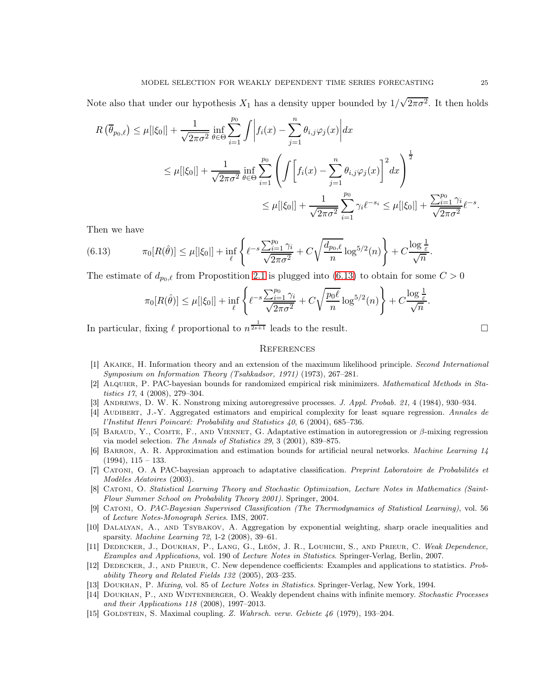Note also that under our hypothesis  $X_1$  has a density upper bounded by  $1/\sqrt{2\pi\sigma^2}$ . It then holds

$$
R(\overline{\theta}_{p_0,\ell}) \leq \mu[|\xi_0|] + \frac{1}{\sqrt{2\pi\sigma^2}} \inf_{\theta \in \Theta} \sum_{i=1}^{p_0} \int \left| f_i(x) - \sum_{j=1}^n \theta_{i,j} \varphi_j(x) \right| dx
$$
  

$$
\leq \mu[|\xi_0|] + \frac{1}{\sqrt{2\pi\sigma^2}} \inf_{\theta \in \Theta} \sum_{i=1}^{p_0} \left( \int \left[ f_i(x) - \sum_{j=1}^n \theta_{i,j} \varphi_j(x) \right]^2 dx \right)^{\frac{1}{2}}
$$
  

$$
\leq \mu[|\xi_0|] + \frac{1}{\sqrt{2\pi\sigma^2}} \sum_{i=1}^{p_0} \gamma_i \ell^{-s_i} \leq \mu[|\xi_0|] + \frac{\sum_{i=1}^{p_0} \gamma_i}{\sqrt{2\pi\sigma^2}} \ell^{-s}.
$$

Then we have

(6.13) 
$$
\pi_0[R(\hat{\theta})] \leq \mu[|\xi_0|] + \inf_{\ell} \left\{ \ell^{-s} \frac{\sum_{i=1}^{p_0} \gamma_i}{\sqrt{2\pi\sigma^2}} + C\sqrt{\frac{d_{p_0,\ell}}{n}} \log^{5/2}(n) \right\} + C \frac{\log \frac{1}{\varepsilon}}{\sqrt{n}}.
$$

The estimate of  $d_{p_0,\ell}$  from Propostition [2.1](#page-3-3) is plugged into [\(6.13\)](#page-24-16) to obtain for some  $C > 0$ 

<span id="page-24-16"></span>
$$
\pi_0[R(\hat{\theta})] \leq \mu[|\xi_0|] + \inf_{\ell} \left\{ \ell^{-s} \frac{\sum_{i=1}^{p_0} \gamma_i}{\sqrt{2\pi\sigma^2}} + C\sqrt{\frac{p_0\ell}{n}} \log^{5/2}(n) \right\} + C\frac{\log\frac{1}{\varepsilon}}{\sqrt{n}}.
$$

In particular, fixing  $\ell$  proportional to  $n^{\frac{1}{2s+1}}$  leads to the result.

### <span id="page-24-0"></span>**REFERENCES**

- <span id="page-24-1"></span>[1] Akaike, H. Information theory and an extension of the maximum likelihood principle. Second International Symposium on Information Theory (Tsahkadsor, 1971) (1973), 267–281.
- <span id="page-24-7"></span>[2] Alquier, P. PAC-bayesian bounds for randomized empirical risk minimizers. Mathematical Methods in Statistics 17, 4 (2008), 279–304.
- <span id="page-24-11"></span><span id="page-24-6"></span>[3] ANDREWS, D. W. K. Nonstrong mixing autoregressive processes. J. Appl. Probab. 21, 4 (1984), 930–934.
- [4] AUDIBERT, J.-Y. Aggregated estimators and empirical complexity for least square regression. Annales de l'Institut Henri Poincaré: Probability and Statistics 40, 6 (2004), 685–736.
- <span id="page-24-2"></span>[5] Baraud, Y., Comte, F., and Viennet, G. Adaptative estimation in autoregression or β-mixing regression via model selection. The Annals of Statistics 29, 3 (2001), 839–875.
- <span id="page-24-14"></span>[6] Barron, A. R. Approximation and estimation bounds for artificial neural networks. Machine Learning 14  $(1994), 115 - 133.$
- <span id="page-24-3"></span>[7] Catoni, O. A PAC-bayesian approach to adaptative classification. Preprint Laboratoire de Probabilités et Modèles Aéatoires (2003).
- <span id="page-24-4"></span>[8] Catoni, O. Statistical Learning Theory and Stochastic Optimization, Lecture Notes in Mathematics (Saint-Flour Summer School on Probability Theory 2001). Springer, 2004.
- <span id="page-24-5"></span>[9] Catoni, O. PAC-Bayesian Supervised Classification (The Thermodynamics of Statistical Learning), vol. 56 of Lecture Notes-Monograph Series. IMS, 2007.
- <span id="page-24-8"></span>[10] Dalalyan, A., and Tsybakov, A. Aggregation by exponential weighting, sharp oracle inequalities and sparsity. Machine Learning 72, 1-2 (2008), 39–61.
- <span id="page-24-9"></span>[11] DEDECKER, J., DOUKHAN, P., LANG, G., LEÓN, J. R., LOUHICHI, S., AND PRIEUR, C. Weak Dependence, Examples and Applications, vol. 190 of Lecture Notes in Statistics. Springer-Verlag, Berlin, 2007.
- <span id="page-24-12"></span>[12] Dedecker, J., and Prieur, C. New dependence coefficients: Examples and applications to statistics. Probability Theory and Related Fields 132 (2005), 203–235.
- <span id="page-24-13"></span><span id="page-24-10"></span>[13] DOUKHAN, P. Mixing, vol. 85 of Lecture Notes in Statistics. Springer-Verlag, New York, 1994.
- [14] DOUKHAN, P., AND WINTENBERGER, O. Weakly dependent chains with infinite memory. Stochastic Processes and their Applications 118 (2008), 1997–2013.
- <span id="page-24-15"></span>[15] GOLDSTEIN, S. Maximal coupling. Z. Wahrsch. verw. Gebiete 46 (1979), 193–204.